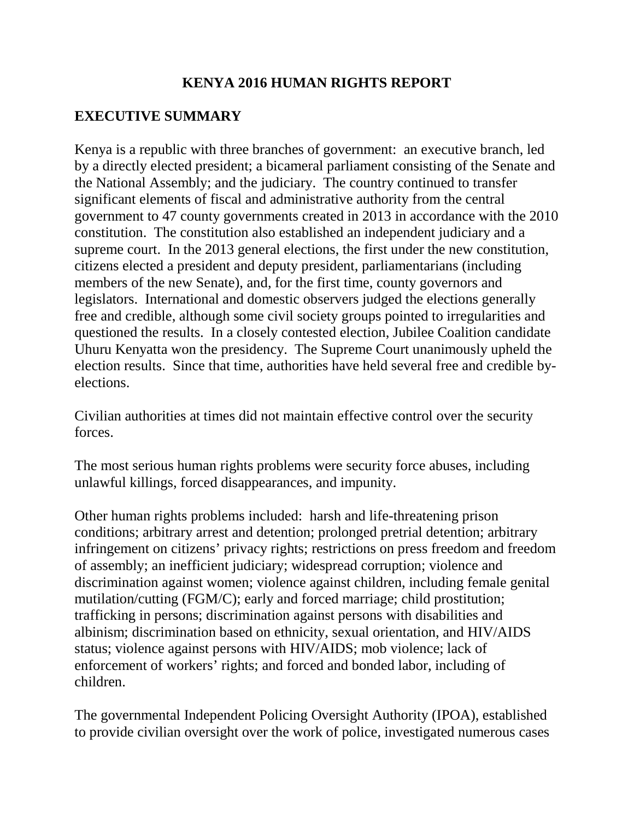## **KENYA 2016 HUMAN RIGHTS REPORT**

# **EXECUTIVE SUMMARY**

Kenya is a republic with three branches of government: an executive branch, led by a directly elected president; a bicameral parliament consisting of the Senate and the National Assembly; and the judiciary. The country continued to transfer significant elements of fiscal and administrative authority from the central government to 47 county governments created in 2013 in accordance with the 2010 constitution. The constitution also established an independent judiciary and a supreme court. In the 2013 general elections, the first under the new constitution, citizens elected a president and deputy president, parliamentarians (including members of the new Senate), and, for the first time, county governors and legislators. International and domestic observers judged the elections generally free and credible, although some civil society groups pointed to irregularities and questioned the results. In a closely contested election, Jubilee Coalition candidate Uhuru Kenyatta won the presidency. The Supreme Court unanimously upheld the election results. Since that time, authorities have held several free and credible byelections.

Civilian authorities at times did not maintain effective control over the security forces.

The most serious human rights problems were security force abuses, including unlawful killings, forced disappearances, and impunity.

Other human rights problems included: harsh and life-threatening prison conditions; arbitrary arrest and detention; prolonged pretrial detention; arbitrary infringement on citizens' privacy rights; restrictions on press freedom and freedom of assembly; an inefficient judiciary; widespread corruption; violence and discrimination against women; violence against children, including female genital mutilation/cutting (FGM/C); early and forced marriage; child prostitution; trafficking in persons; discrimination against persons with disabilities and albinism; discrimination based on ethnicity, sexual orientation, and HIV/AIDS status; violence against persons with HIV/AIDS; mob violence; lack of enforcement of workers' rights; and forced and bonded labor, including of children.

The governmental Independent Policing Oversight Authority (IPOA), established to provide civilian oversight over the work of police, investigated numerous cases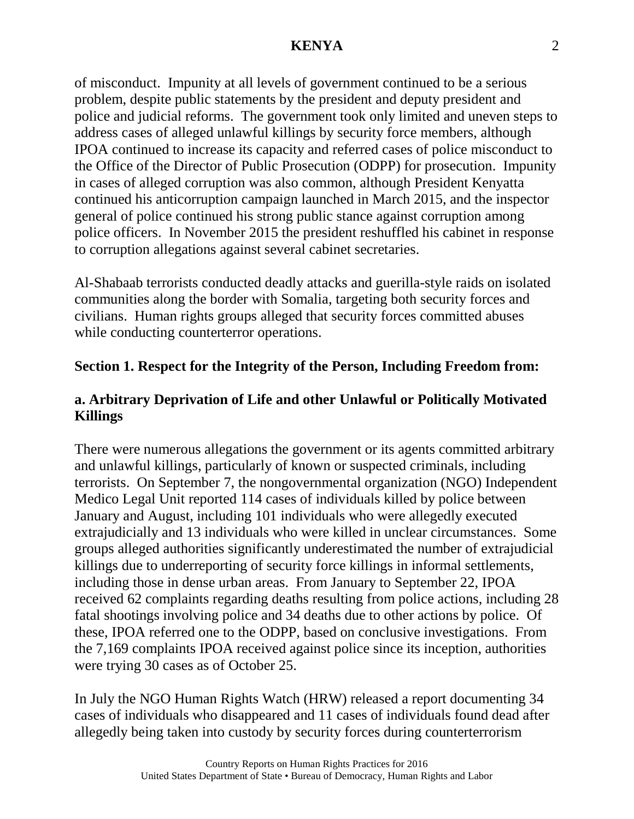of misconduct. Impunity at all levels of government continued to be a serious problem, despite public statements by the president and deputy president and police and judicial reforms. The government took only limited and uneven steps to address cases of alleged unlawful killings by security force members, although IPOA continued to increase its capacity and referred cases of police misconduct to the Office of the Director of Public Prosecution (ODPP) for prosecution. Impunity in cases of alleged corruption was also common, although President Kenyatta continued his anticorruption campaign launched in March 2015, and the inspector general of police continued his strong public stance against corruption among police officers. In November 2015 the president reshuffled his cabinet in response to corruption allegations against several cabinet secretaries.

Al-Shabaab terrorists conducted deadly attacks and guerilla-style raids on isolated communities along the border with Somalia, targeting both security forces and civilians. Human rights groups alleged that security forces committed abuses while conducting counterterror operations.

#### **Section 1. Respect for the Integrity of the Person, Including Freedom from:**

## **a. Arbitrary Deprivation of Life and other Unlawful or Politically Motivated Killings**

There were numerous allegations the government or its agents committed arbitrary and unlawful killings, particularly of known or suspected criminals, including terrorists. On September 7, the nongovernmental organization (NGO) Independent Medico Legal Unit reported 114 cases of individuals killed by police between January and August, including 101 individuals who were allegedly executed extrajudicially and 13 individuals who were killed in unclear circumstances. Some groups alleged authorities significantly underestimated the number of extrajudicial killings due to underreporting of security force killings in informal settlements, including those in dense urban areas. From January to September 22, IPOA received 62 complaints regarding deaths resulting from police actions, including 28 fatal shootings involving police and 34 deaths due to other actions by police. Of these, IPOA referred one to the ODPP, based on conclusive investigations. From the 7,169 complaints IPOA received against police since its inception, authorities were trying 30 cases as of October 25.

In July the NGO Human Rights Watch (HRW) released a report documenting 34 cases of individuals who disappeared and 11 cases of individuals found dead after allegedly being taken into custody by security forces during counterterrorism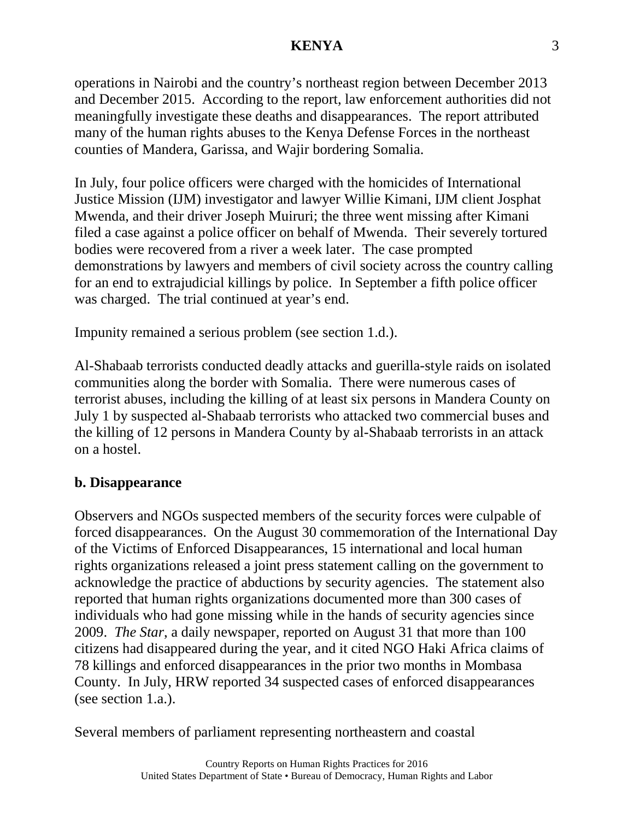operations in Nairobi and the country's northeast region between December 2013 and December 2015. According to the report, law enforcement authorities did not meaningfully investigate these deaths and disappearances. The report attributed many of the human rights abuses to the Kenya Defense Forces in the northeast counties of Mandera, Garissa, and Wajir bordering Somalia.

In July, four police officers were charged with the homicides of International Justice Mission (IJM) investigator and lawyer Willie Kimani, IJM client Josphat Mwenda, and their driver Joseph Muiruri; the three went missing after Kimani filed a case against a police officer on behalf of Mwenda. Their severely tortured bodies were recovered from a river a week later. The case prompted demonstrations by lawyers and members of civil society across the country calling for an end to extrajudicial killings by police. In September a fifth police officer was charged. The trial continued at year's end.

Impunity remained a serious problem (see section 1.d.).

Al-Shabaab terrorists conducted deadly attacks and guerilla-style raids on isolated communities along the border with Somalia. There were numerous cases of terrorist abuses, including the killing of at least six persons in Mandera County on July 1 by suspected al-Shabaab terrorists who attacked two commercial buses and the killing of 12 persons in Mandera County by al-Shabaab terrorists in an attack on a hostel.

## **b. Disappearance**

Observers and NGOs suspected members of the security forces were culpable of forced disappearances. On the August 30 commemoration of the International Day of the Victims of Enforced Disappearances, 15 international and local human rights organizations released a joint press statement calling on the government to acknowledge the practice of abductions by security agencies. The statement also reported that human rights organizations documented more than 300 cases of individuals who had gone missing while in the hands of security agencies since 2009. *The Star*, a daily newspaper, reported on August 31 that more than 100 citizens had disappeared during the year, and it cited NGO Haki Africa claims of 78 killings and enforced disappearances in the prior two months in Mombasa County. In July, HRW reported 34 suspected cases of enforced disappearances (see section 1.a.).

Several members of parliament representing northeastern and coastal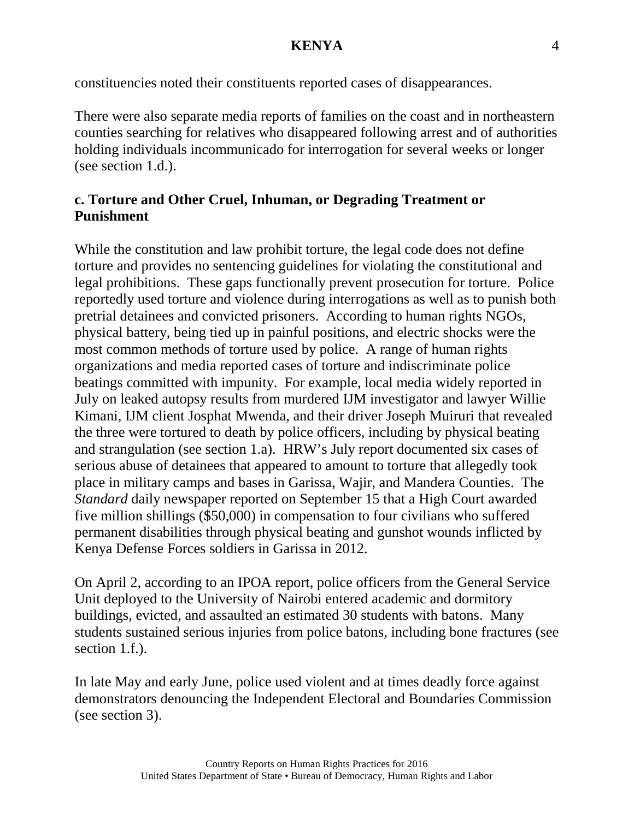constituencies noted their constituents reported cases of disappearances.

There were also separate media reports of families on the coast and in northeastern counties searching for relatives who disappeared following arrest and of authorities holding individuals incommunicado for interrogation for several weeks or longer (see section 1.d.).

## **c. Torture and Other Cruel, Inhuman, or Degrading Treatment or Punishment**

While the constitution and law prohibit torture, the legal code does not define torture and provides no sentencing guidelines for violating the constitutional and legal prohibitions. These gaps functionally prevent prosecution for torture. Police reportedly used torture and violence during interrogations as well as to punish both pretrial detainees and convicted prisoners. According to human rights NGOs, physical battery, being tied up in painful positions, and electric shocks were the most common methods of torture used by police. A range of human rights organizations and media reported cases of torture and indiscriminate police beatings committed with impunity. For example, local media widely reported in July on leaked autopsy results from murdered IJM investigator and lawyer Willie Kimani, IJM client Josphat Mwenda, and their driver Joseph Muiruri that revealed the three were tortured to death by police officers, including by physical beating and strangulation (see section 1.a). HRW's July report documented six cases of serious abuse of detainees that appeared to amount to torture that allegedly took place in military camps and bases in Garissa, Wajir, and Mandera Counties. The *Standard* daily newspaper reported on September 15 that a High Court awarded five million shillings (\$50,000) in compensation to four civilians who suffered permanent disabilities through physical beating and gunshot wounds inflicted by Kenya Defense Forces soldiers in Garissa in 2012.

On April 2, according to an IPOA report, police officers from the General Service Unit deployed to the University of Nairobi entered academic and dormitory buildings, evicted, and assaulted an estimated 30 students with batons. Many students sustained serious injuries from police batons, including bone fractures (see section 1.f.).

In late May and early June, police used violent and at times deadly force against demonstrators denouncing the Independent Electoral and Boundaries Commission (see section 3).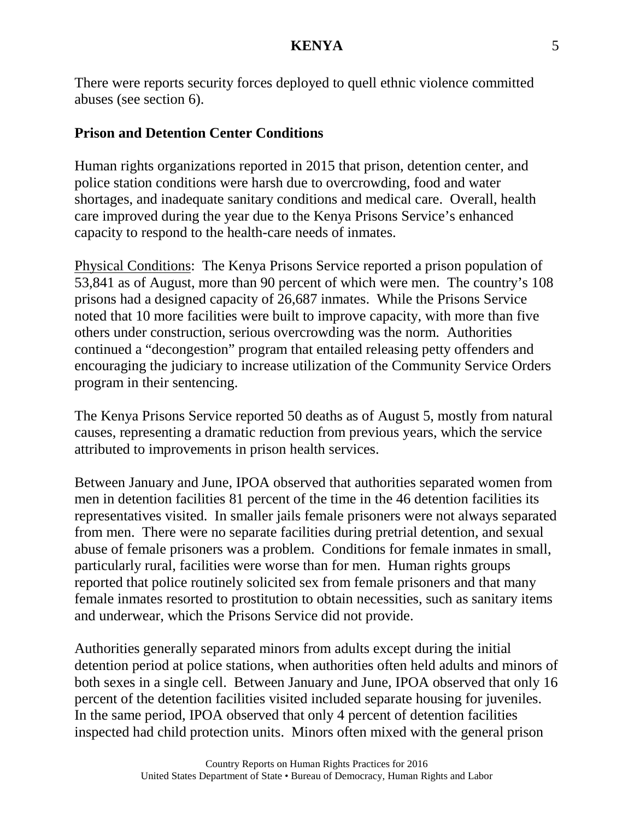There were reports security forces deployed to quell ethnic violence committed abuses (see section 6).

#### **Prison and Detention Center Conditions**

Human rights organizations reported in 2015 that prison, detention center, and police station conditions were harsh due to overcrowding, food and water shortages, and inadequate sanitary conditions and medical care. Overall, health care improved during the year due to the Kenya Prisons Service's enhanced capacity to respond to the health-care needs of inmates.

Physical Conditions: The Kenya Prisons Service reported a prison population of 53,841 as of August, more than 90 percent of which were men. The country's 108 prisons had a designed capacity of 26,687 inmates. While the Prisons Service noted that 10 more facilities were built to improve capacity, with more than five others under construction, serious overcrowding was the norm. Authorities continued a "decongestion" program that entailed releasing petty offenders and encouraging the judiciary to increase utilization of the Community Service Orders program in their sentencing.

The Kenya Prisons Service reported 50 deaths as of August 5, mostly from natural causes, representing a dramatic reduction from previous years, which the service attributed to improvements in prison health services.

Between January and June, IPOA observed that authorities separated women from men in detention facilities 81 percent of the time in the 46 detention facilities its representatives visited. In smaller jails female prisoners were not always separated from men. There were no separate facilities during pretrial detention, and sexual abuse of female prisoners was a problem. Conditions for female inmates in small, particularly rural, facilities were worse than for men. Human rights groups reported that police routinely solicited sex from female prisoners and that many female inmates resorted to prostitution to obtain necessities, such as sanitary items and underwear, which the Prisons Service did not provide.

Authorities generally separated minors from adults except during the initial detention period at police stations, when authorities often held adults and minors of both sexes in a single cell. Between January and June, IPOA observed that only 16 percent of the detention facilities visited included separate housing for juveniles. In the same period, IPOA observed that only 4 percent of detention facilities inspected had child protection units. Minors often mixed with the general prison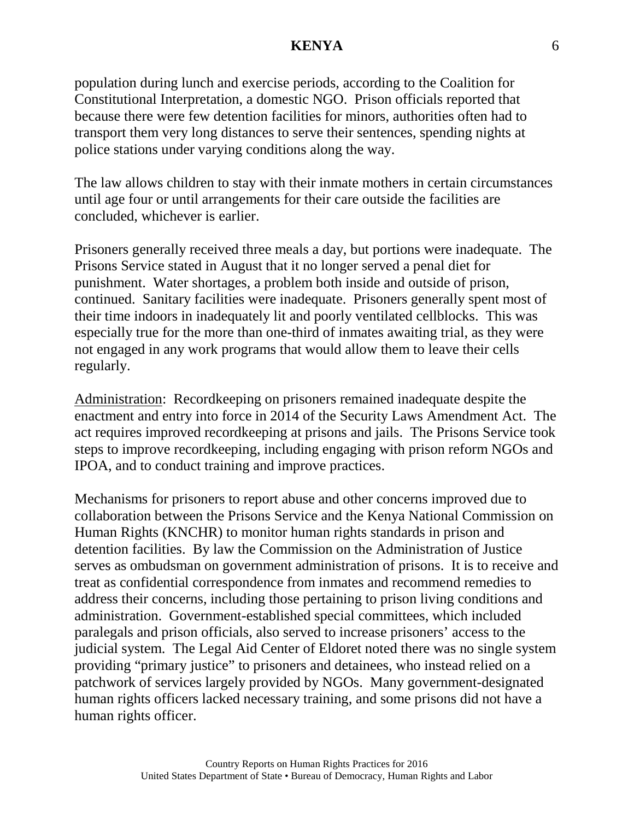population during lunch and exercise periods, according to the Coalition for Constitutional Interpretation, a domestic NGO. Prison officials reported that because there were few detention facilities for minors, authorities often had to transport them very long distances to serve their sentences, spending nights at police stations under varying conditions along the way.

The law allows children to stay with their inmate mothers in certain circumstances until age four or until arrangements for their care outside the facilities are concluded, whichever is earlier.

Prisoners generally received three meals a day, but portions were inadequate. The Prisons Service stated in August that it no longer served a penal diet for punishment. Water shortages, a problem both inside and outside of prison, continued. Sanitary facilities were inadequate. Prisoners generally spent most of their time indoors in inadequately lit and poorly ventilated cellblocks. This was especially true for the more than one-third of inmates awaiting trial, as they were not engaged in any work programs that would allow them to leave their cells regularly.

Administration: Recordkeeping on prisoners remained inadequate despite the enactment and entry into force in 2014 of the Security Laws Amendment Act. The act requires improved recordkeeping at prisons and jails. The Prisons Service took steps to improve recordkeeping, including engaging with prison reform NGOs and IPOA, and to conduct training and improve practices.

Mechanisms for prisoners to report abuse and other concerns improved due to collaboration between the Prisons Service and the Kenya National Commission on Human Rights (KNCHR) to monitor human rights standards in prison and detention facilities. By law the Commission on the Administration of Justice serves as ombudsman on government administration of prisons. It is to receive and treat as confidential correspondence from inmates and recommend remedies to address their concerns, including those pertaining to prison living conditions and administration. Government-established special committees, which included paralegals and prison officials, also served to increase prisoners' access to the judicial system. The Legal Aid Center of Eldoret noted there was no single system providing "primary justice" to prisoners and detainees, who instead relied on a patchwork of services largely provided by NGOs. Many government-designated human rights officers lacked necessary training, and some prisons did not have a human rights officer.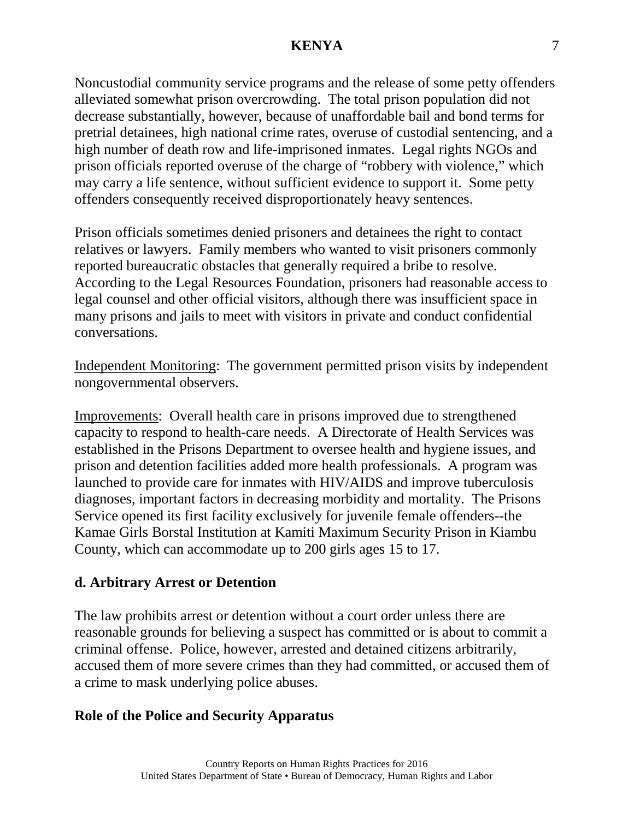Noncustodial community service programs and the release of some petty offenders alleviated somewhat prison overcrowding. The total prison population did not decrease substantially, however, because of unaffordable bail and bond terms for pretrial detainees, high national crime rates, overuse of custodial sentencing, and a high number of death row and life-imprisoned inmates. Legal rights NGOs and prison officials reported overuse of the charge of "robbery with violence," which may carry a life sentence, without sufficient evidence to support it. Some petty offenders consequently received disproportionately heavy sentences.

Prison officials sometimes denied prisoners and detainees the right to contact relatives or lawyers. Family members who wanted to visit prisoners commonly reported bureaucratic obstacles that generally required a bribe to resolve. According to the Legal Resources Foundation, prisoners had reasonable access to legal counsel and other official visitors, although there was insufficient space in many prisons and jails to meet with visitors in private and conduct confidential conversations.

Independent Monitoring: The government permitted prison visits by independent nongovernmental observers.

Improvements: Overall health care in prisons improved due to strengthened capacity to respond to health-care needs. A Directorate of Health Services was established in the Prisons Department to oversee health and hygiene issues, and prison and detention facilities added more health professionals. A program was launched to provide care for inmates with HIV/AIDS and improve tuberculosis diagnoses, important factors in decreasing morbidity and mortality. The Prisons Service opened its first facility exclusively for juvenile female offenders--the Kamae Girls Borstal Institution at Kamiti Maximum Security Prison in Kiambu County, which can accommodate up to 200 girls ages 15 to 17.

#### **d. Arbitrary Arrest or Detention**

The law prohibits arrest or detention without a court order unless there are reasonable grounds for believing a suspect has committed or is about to commit a criminal offense. Police, however, arrested and detained citizens arbitrarily, accused them of more severe crimes than they had committed, or accused them of a crime to mask underlying police abuses.

#### **Role of the Police and Security Apparatus**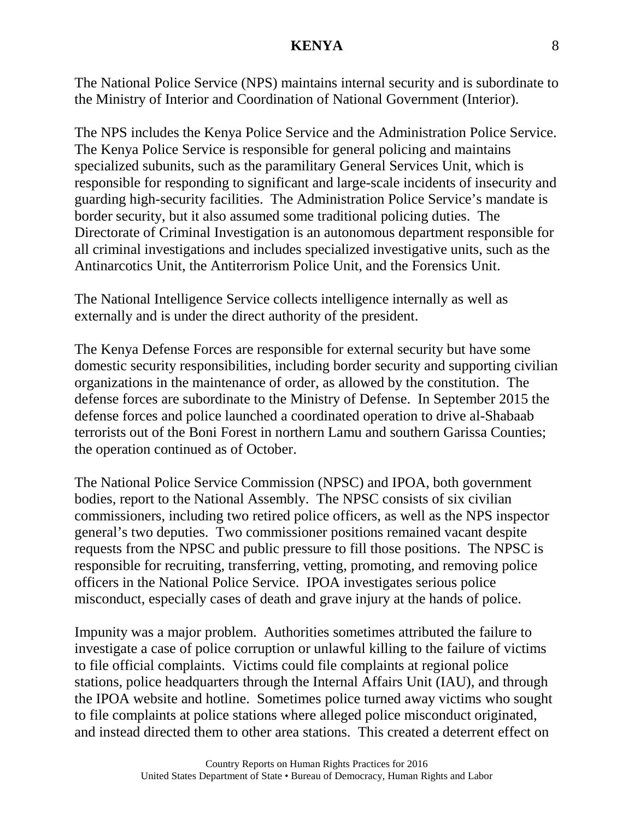The National Police Service (NPS) maintains internal security and is subordinate to the Ministry of Interior and Coordination of National Government (Interior).

The NPS includes the Kenya Police Service and the Administration Police Service. The Kenya Police Service is responsible for general policing and maintains specialized subunits, such as the paramilitary General Services Unit, which is responsible for responding to significant and large-scale incidents of insecurity and guarding high-security facilities. The Administration Police Service's mandate is border security, but it also assumed some traditional policing duties. The Directorate of Criminal Investigation is an autonomous department responsible for all criminal investigations and includes specialized investigative units, such as the Antinarcotics Unit, the Antiterrorism Police Unit, and the Forensics Unit.

The National Intelligence Service collects intelligence internally as well as externally and is under the direct authority of the president.

The Kenya Defense Forces are responsible for external security but have some domestic security responsibilities, including border security and supporting civilian organizations in the maintenance of order, as allowed by the constitution. The defense forces are subordinate to the Ministry of Defense. In September 2015 the defense forces and police launched a coordinated operation to drive al-Shabaab terrorists out of the Boni Forest in northern Lamu and southern Garissa Counties; the operation continued as of October.

The National Police Service Commission (NPSC) and IPOA, both government bodies, report to the National Assembly. The NPSC consists of six civilian commissioners, including two retired police officers, as well as the NPS inspector general's two deputies. Two commissioner positions remained vacant despite requests from the NPSC and public pressure to fill those positions. The NPSC is responsible for recruiting, transferring, vetting, promoting, and removing police officers in the National Police Service. IPOA investigates serious police misconduct, especially cases of death and grave injury at the hands of police.

Impunity was a major problem. Authorities sometimes attributed the failure to investigate a case of police corruption or unlawful killing to the failure of victims to file official complaints. Victims could file complaints at regional police stations, police headquarters through the Internal Affairs Unit (IAU), and through the IPOA website and hotline. Sometimes police turned away victims who sought to file complaints at police stations where alleged police misconduct originated, and instead directed them to other area stations. This created a deterrent effect on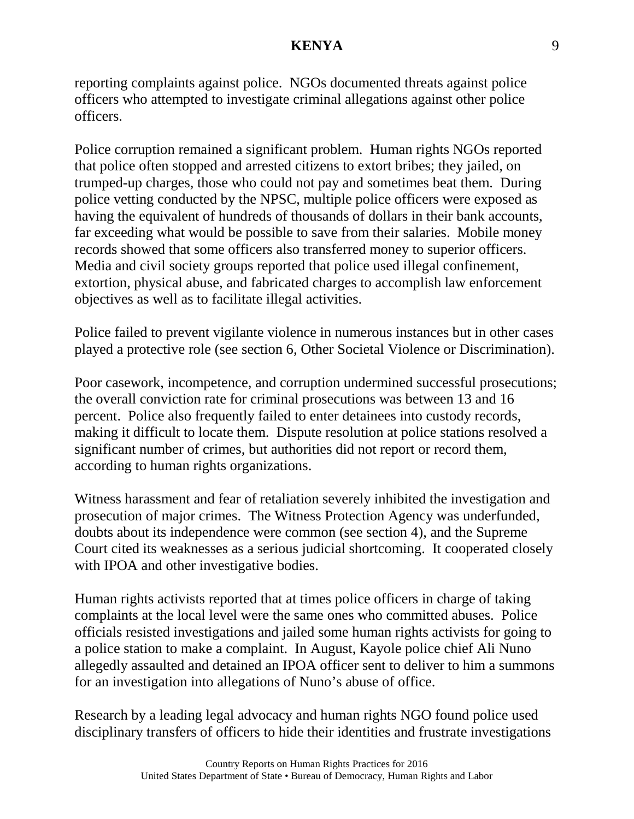reporting complaints against police. NGOs documented threats against police officers who attempted to investigate criminal allegations against other police officers.

Police corruption remained a significant problem. Human rights NGOs reported that police often stopped and arrested citizens to extort bribes; they jailed, on trumped-up charges, those who could not pay and sometimes beat them. During police vetting conducted by the NPSC, multiple police officers were exposed as having the equivalent of hundreds of thousands of dollars in their bank accounts, far exceeding what would be possible to save from their salaries. Mobile money records showed that some officers also transferred money to superior officers. Media and civil society groups reported that police used illegal confinement, extortion, physical abuse, and fabricated charges to accomplish law enforcement objectives as well as to facilitate illegal activities.

Police failed to prevent vigilante violence in numerous instances but in other cases played a protective role (see section 6, Other Societal Violence or Discrimination).

Poor casework, incompetence, and corruption undermined successful prosecutions; the overall conviction rate for criminal prosecutions was between 13 and 16 percent. Police also frequently failed to enter detainees into custody records, making it difficult to locate them. Dispute resolution at police stations resolved a significant number of crimes, but authorities did not report or record them, according to human rights organizations.

Witness harassment and fear of retaliation severely inhibited the investigation and prosecution of major crimes. The Witness Protection Agency was underfunded, doubts about its independence were common (see section 4), and the Supreme Court cited its weaknesses as a serious judicial shortcoming. It cooperated closely with IPOA and other investigative bodies.

Human rights activists reported that at times police officers in charge of taking complaints at the local level were the same ones who committed abuses. Police officials resisted investigations and jailed some human rights activists for going to a police station to make a complaint. In August, Kayole police chief Ali Nuno allegedly assaulted and detained an IPOA officer sent to deliver to him a summons for an investigation into allegations of Nuno's abuse of office.

Research by a leading legal advocacy and human rights NGO found police used disciplinary transfers of officers to hide their identities and frustrate investigations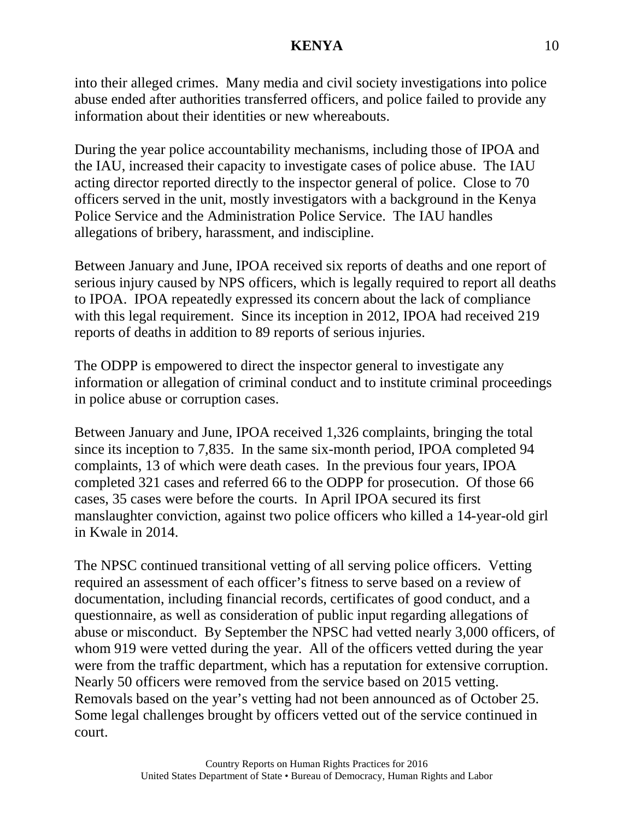into their alleged crimes. Many media and civil society investigations into police abuse ended after authorities transferred officers, and police failed to provide any information about their identities or new whereabouts.

During the year police accountability mechanisms, including those of IPOA and the IAU, increased their capacity to investigate cases of police abuse. The IAU acting director reported directly to the inspector general of police. Close to 70 officers served in the unit, mostly investigators with a background in the Kenya Police Service and the Administration Police Service. The IAU handles allegations of bribery, harassment, and indiscipline.

Between January and June, IPOA received six reports of deaths and one report of serious injury caused by NPS officers, which is legally required to report all deaths to IPOA. IPOA repeatedly expressed its concern about the lack of compliance with this legal requirement. Since its inception in 2012, IPOA had received 219 reports of deaths in addition to 89 reports of serious injuries.

The ODPP is empowered to direct the inspector general to investigate any information or allegation of criminal conduct and to institute criminal proceedings in police abuse or corruption cases.

Between January and June, IPOA received 1,326 complaints, bringing the total since its inception to 7,835. In the same six-month period, IPOA completed 94 complaints, 13 of which were death cases. In the previous four years, IPOA completed 321 cases and referred 66 to the ODPP for prosecution. Of those 66 cases, 35 cases were before the courts. In April IPOA secured its first manslaughter conviction, against two police officers who killed a 14-year-old girl in Kwale in 2014.

The NPSC continued transitional vetting of all serving police officers. Vetting required an assessment of each officer's fitness to serve based on a review of documentation, including financial records, certificates of good conduct, and a questionnaire, as well as consideration of public input regarding allegations of abuse or misconduct. By September the NPSC had vetted nearly 3,000 officers, of whom 919 were vetted during the year. All of the officers vetted during the year were from the traffic department, which has a reputation for extensive corruption. Nearly 50 officers were removed from the service based on 2015 vetting. Removals based on the year's vetting had not been announced as of October 25. Some legal challenges brought by officers vetted out of the service continued in court.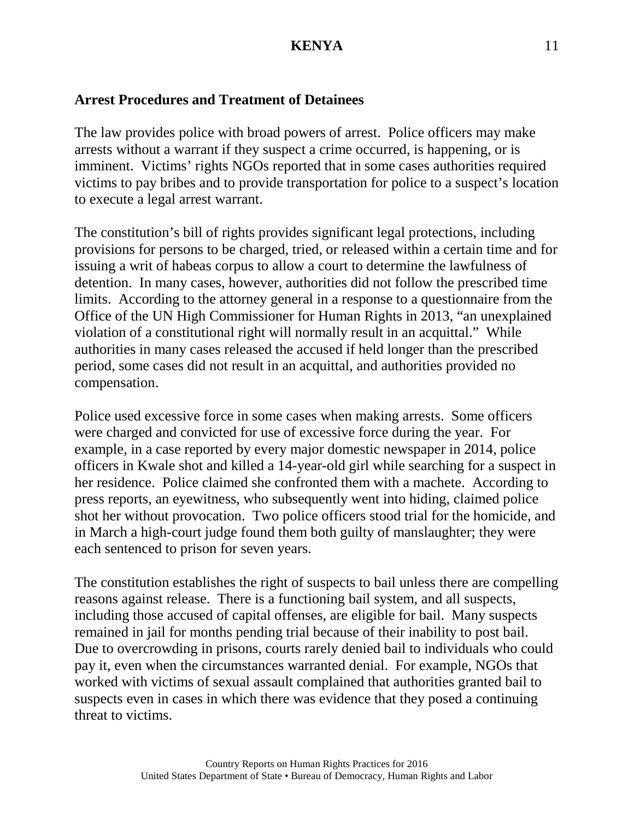## **Arrest Procedures and Treatment of Detainees**

The law provides police with broad powers of arrest. Police officers may make arrests without a warrant if they suspect a crime occurred, is happening, or is imminent. Victims' rights NGOs reported that in some cases authorities required victims to pay bribes and to provide transportation for police to a suspect's location to execute a legal arrest warrant.

The constitution's bill of rights provides significant legal protections, including provisions for persons to be charged, tried, or released within a certain time and for issuing a writ of habeas corpus to allow a court to determine the lawfulness of detention. In many cases, however, authorities did not follow the prescribed time limits. According to the attorney general in a response to a questionnaire from the Office of the UN High Commissioner for Human Rights in 2013, "an unexplained violation of a constitutional right will normally result in an acquittal." While authorities in many cases released the accused if held longer than the prescribed period, some cases did not result in an acquittal, and authorities provided no compensation.

Police used excessive force in some cases when making arrests. Some officers were charged and convicted for use of excessive force during the year. For example, in a case reported by every major domestic newspaper in 2014, police officers in Kwale shot and killed a 14-year-old girl while searching for a suspect in her residence. Police claimed she confronted them with a machete. According to press reports, an eyewitness, who subsequently went into hiding, claimed police shot her without provocation. Two police officers stood trial for the homicide, and in March a high-court judge found them both guilty of manslaughter; they were each sentenced to prison for seven years.

The constitution establishes the right of suspects to bail unless there are compelling reasons against release. There is a functioning bail system, and all suspects, including those accused of capital offenses, are eligible for bail. Many suspects remained in jail for months pending trial because of their inability to post bail. Due to overcrowding in prisons, courts rarely denied bail to individuals who could pay it, even when the circumstances warranted denial. For example, NGOs that worked with victims of sexual assault complained that authorities granted bail to suspects even in cases in which there was evidence that they posed a continuing threat to victims.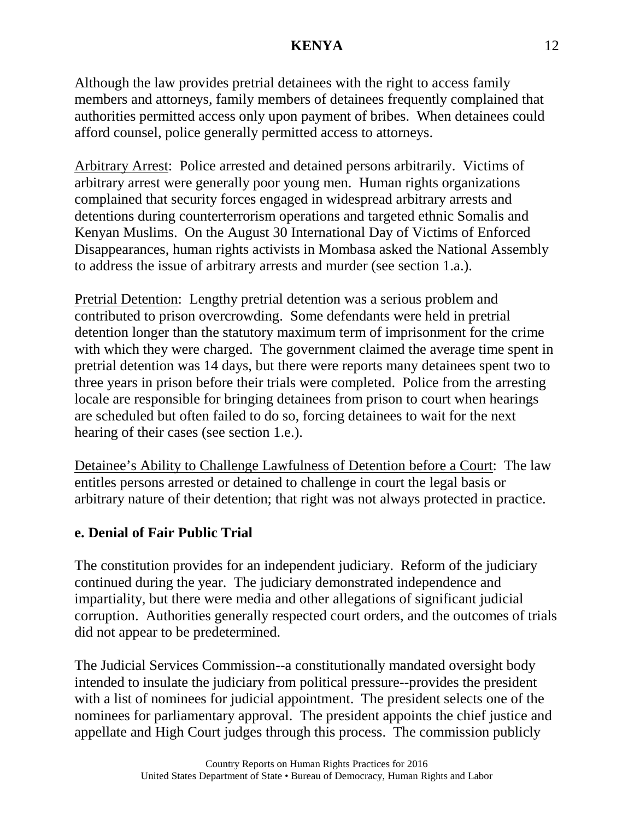Although the law provides pretrial detainees with the right to access family members and attorneys, family members of detainees frequently complained that authorities permitted access only upon payment of bribes. When detainees could afford counsel, police generally permitted access to attorneys.

Arbitrary Arrest: Police arrested and detained persons arbitrarily. Victims of arbitrary arrest were generally poor young men. Human rights organizations complained that security forces engaged in widespread arbitrary arrests and detentions during counterterrorism operations and targeted ethnic Somalis and Kenyan Muslims. On the August 30 International Day of Victims of Enforced Disappearances, human rights activists in Mombasa asked the National Assembly to address the issue of arbitrary arrests and murder (see section 1.a.).

Pretrial Detention: Lengthy pretrial detention was a serious problem and contributed to prison overcrowding. Some defendants were held in pretrial detention longer than the statutory maximum term of imprisonment for the crime with which they were charged. The government claimed the average time spent in pretrial detention was 14 days, but there were reports many detainees spent two to three years in prison before their trials were completed. Police from the arresting locale are responsible for bringing detainees from prison to court when hearings are scheduled but often failed to do so, forcing detainees to wait for the next hearing of their cases (see section 1.e.).

Detainee's Ability to Challenge Lawfulness of Detention before a Court: The law entitles persons arrested or detained to challenge in court the legal basis or arbitrary nature of their detention; that right was not always protected in practice.

## **e. Denial of Fair Public Trial**

The constitution provides for an independent judiciary. Reform of the judiciary continued during the year. The judiciary demonstrated independence and impartiality, but there were media and other allegations of significant judicial corruption. Authorities generally respected court orders, and the outcomes of trials did not appear to be predetermined.

The Judicial Services Commission--a constitutionally mandated oversight body intended to insulate the judiciary from political pressure--provides the president with a list of nominees for judicial appointment. The president selects one of the nominees for parliamentary approval. The president appoints the chief justice and appellate and High Court judges through this process. The commission publicly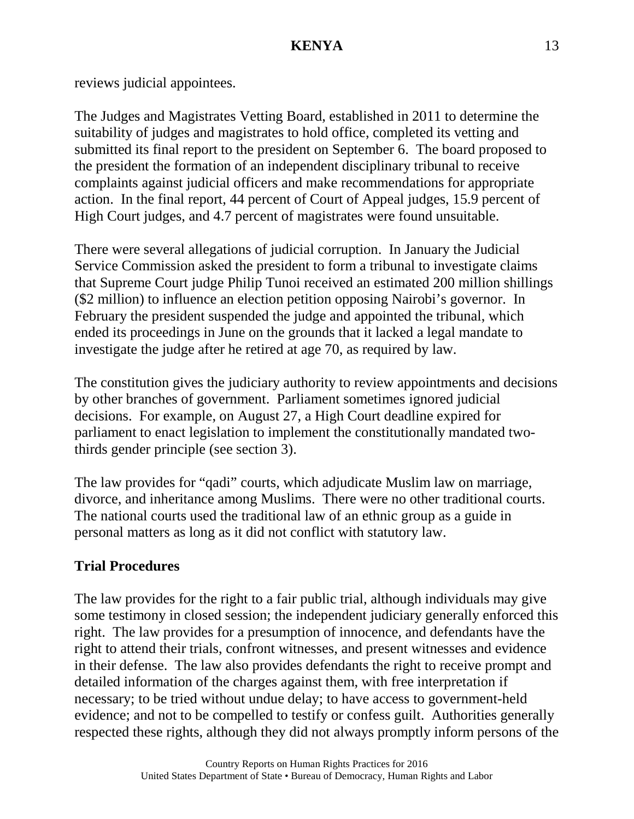reviews judicial appointees.

The Judges and Magistrates Vetting Board, established in 2011 to determine the suitability of judges and magistrates to hold office, completed its vetting and submitted its final report to the president on September 6. The board proposed to the president the formation of an independent disciplinary tribunal to receive complaints against judicial officers and make recommendations for appropriate action. In the final report, 44 percent of Court of Appeal judges, 15.9 percent of High Court judges, and 4.7 percent of magistrates were found unsuitable.

There were several allegations of judicial corruption. In January the Judicial Service Commission asked the president to form a tribunal to investigate claims that Supreme Court judge Philip Tunoi received an estimated 200 million shillings (\$2 million) to influence an election petition opposing Nairobi's governor. In February the president suspended the judge and appointed the tribunal, which ended its proceedings in June on the grounds that it lacked a legal mandate to investigate the judge after he retired at age 70, as required by law.

The constitution gives the judiciary authority to review appointments and decisions by other branches of government. Parliament sometimes ignored judicial decisions. For example, on August 27, a High Court deadline expired for parliament to enact legislation to implement the constitutionally mandated twothirds gender principle (see section 3).

The law provides for "qadi" courts, which adjudicate Muslim law on marriage, divorce, and inheritance among Muslims. There were no other traditional courts. The national courts used the traditional law of an ethnic group as a guide in personal matters as long as it did not conflict with statutory law.

# **Trial Procedures**

The law provides for the right to a fair public trial, although individuals may give some testimony in closed session; the independent judiciary generally enforced this right. The law provides for a presumption of innocence, and defendants have the right to attend their trials, confront witnesses, and present witnesses and evidence in their defense. The law also provides defendants the right to receive prompt and detailed information of the charges against them, with free interpretation if necessary; to be tried without undue delay; to have access to government-held evidence; and not to be compelled to testify or confess guilt. Authorities generally respected these rights, although they did not always promptly inform persons of the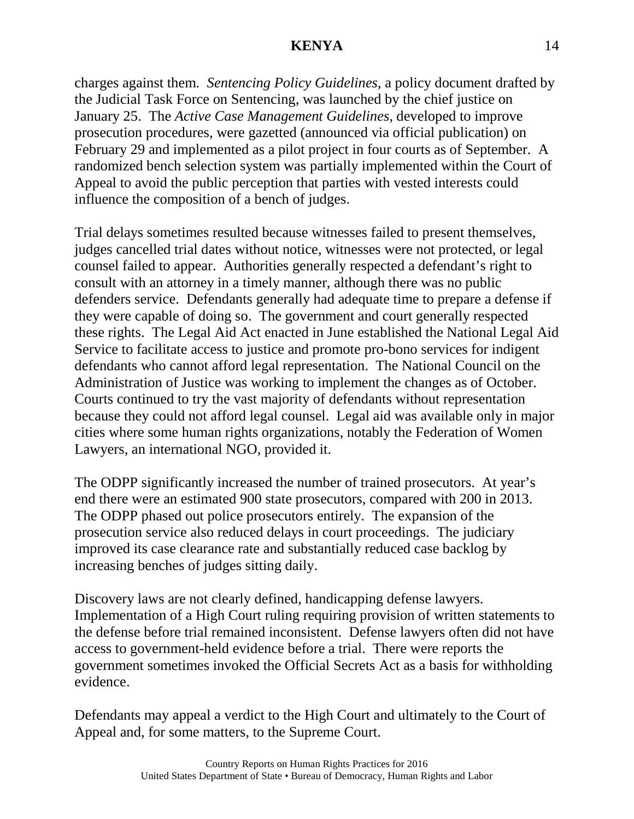charges against them. *Sentencing Policy Guidelines*, a policy document drafted by the Judicial Task Force on Sentencing, was launched by the chief justice on January 25. The *Active Case Management Guidelines*, developed to improve prosecution procedures, were gazetted (announced via official publication) on February 29 and implemented as a pilot project in four courts as of September. A randomized bench selection system was partially implemented within the Court of Appeal to avoid the public perception that parties with vested interests could influence the composition of a bench of judges.

Trial delays sometimes resulted because witnesses failed to present themselves, judges cancelled trial dates without notice, witnesses were not protected, or legal counsel failed to appear. Authorities generally respected a defendant's right to consult with an attorney in a timely manner, although there was no public defenders service. Defendants generally had adequate time to prepare a defense if they were capable of doing so. The government and court generally respected these rights. The Legal Aid Act enacted in June established the National Legal Aid Service to facilitate access to justice and promote pro-bono services for indigent defendants who cannot afford legal representation. The National Council on the Administration of Justice was working to implement the changes as of October. Courts continued to try the vast majority of defendants without representation because they could not afford legal counsel. Legal aid was available only in major cities where some human rights organizations, notably the Federation of Women Lawyers, an international NGO, provided it.

The ODPP significantly increased the number of trained prosecutors. At year's end there were an estimated 900 state prosecutors, compared with 200 in 2013. The ODPP phased out police prosecutors entirely. The expansion of the prosecution service also reduced delays in court proceedings. The judiciary improved its case clearance rate and substantially reduced case backlog by increasing benches of judges sitting daily.

Discovery laws are not clearly defined, handicapping defense lawyers. Implementation of a High Court ruling requiring provision of written statements to the defense before trial remained inconsistent. Defense lawyers often did not have access to government-held evidence before a trial. There were reports the government sometimes invoked the Official Secrets Act as a basis for withholding evidence.

Defendants may appeal a verdict to the High Court and ultimately to the Court of Appeal and, for some matters, to the Supreme Court.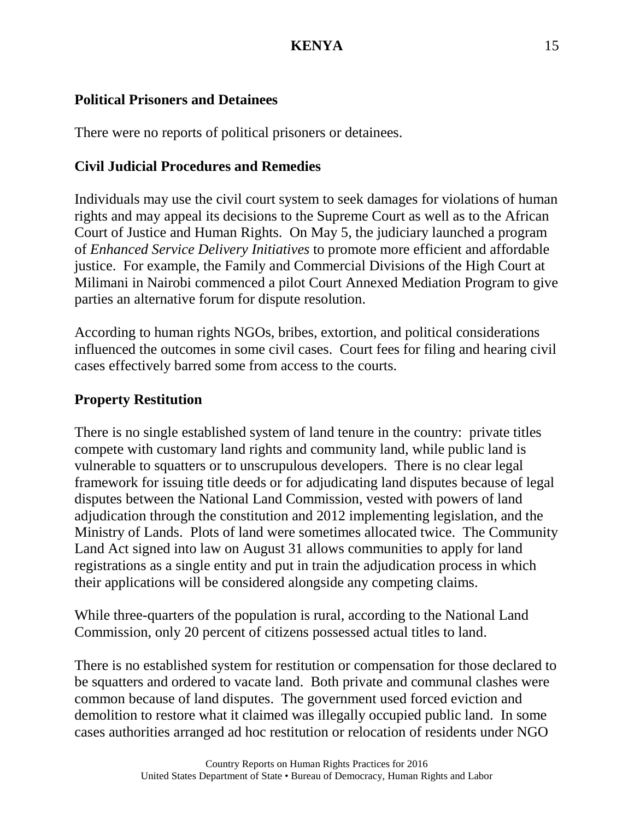# **Political Prisoners and Detainees**

There were no reports of political prisoners or detainees.

# **Civil Judicial Procedures and Remedies**

Individuals may use the civil court system to seek damages for violations of human rights and may appeal its decisions to the Supreme Court as well as to the African Court of Justice and Human Rights. On May 5, the judiciary launched a program of *Enhanced Service Delivery Initiatives* to promote more efficient and affordable justice. For example, the Family and Commercial Divisions of the High Court at Milimani in Nairobi commenced a pilot Court Annexed Mediation Program to give parties an alternative forum for dispute resolution.

According to human rights NGOs, bribes, extortion, and political considerations influenced the outcomes in some civil cases. Court fees for filing and hearing civil cases effectively barred some from access to the courts.

# **Property Restitution**

There is no single established system of land tenure in the country: private titles compete with customary land rights and community land, while public land is vulnerable to squatters or to unscrupulous developers. There is no clear legal framework for issuing title deeds or for adjudicating land disputes because of legal disputes between the National Land Commission, vested with powers of land adjudication through the constitution and 2012 implementing legislation, and the Ministry of Lands. Plots of land were sometimes allocated twice. The Community Land Act signed into law on August 31 allows communities to apply for land registrations as a single entity and put in train the adjudication process in which their applications will be considered alongside any competing claims.

While three-quarters of the population is rural, according to the National Land Commission, only 20 percent of citizens possessed actual titles to land.

There is no established system for restitution or compensation for those declared to be squatters and ordered to vacate land. Both private and communal clashes were common because of land disputes. The government used forced eviction and demolition to restore what it claimed was illegally occupied public land. In some cases authorities arranged ad hoc restitution or relocation of residents under NGO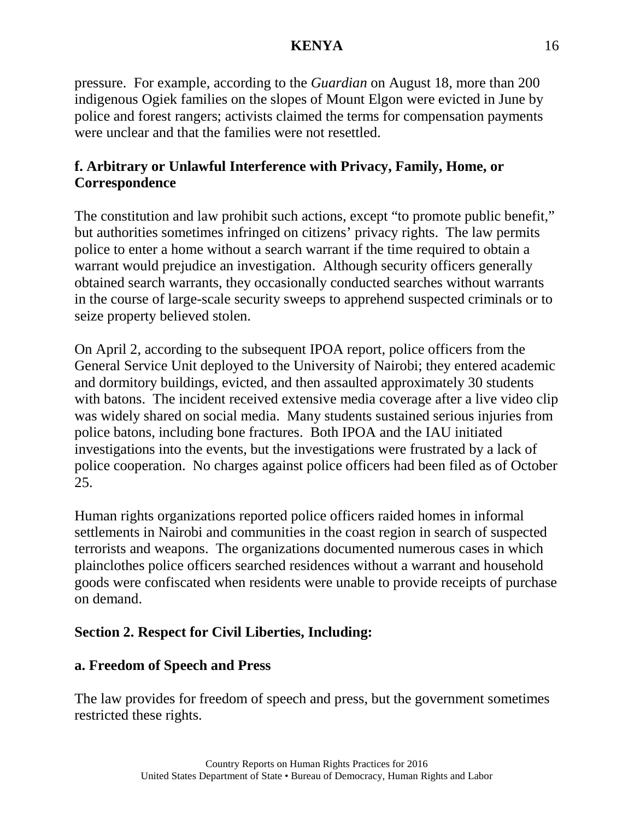pressure. For example, according to the *Guardian* on August 18, more than 200 indigenous Ogiek families on the slopes of Mount Elgon were evicted in June by police and forest rangers; activists claimed the terms for compensation payments were unclear and that the families were not resettled.

# **f. Arbitrary or Unlawful Interference with Privacy, Family, Home, or Correspondence**

The constitution and law prohibit such actions, except "to promote public benefit," but authorities sometimes infringed on citizens' privacy rights. The law permits police to enter a home without a search warrant if the time required to obtain a warrant would prejudice an investigation. Although security officers generally obtained search warrants, they occasionally conducted searches without warrants in the course of large-scale security sweeps to apprehend suspected criminals or to seize property believed stolen.

On April 2, according to the subsequent IPOA report, police officers from the General Service Unit deployed to the University of Nairobi; they entered academic and dormitory buildings, evicted, and then assaulted approximately 30 students with batons. The incident received extensive media coverage after a live video clip was widely shared on social media. Many students sustained serious injuries from police batons, including bone fractures. Both IPOA and the IAU initiated investigations into the events, but the investigations were frustrated by a lack of police cooperation. No charges against police officers had been filed as of October 25.

Human rights organizations reported police officers raided homes in informal settlements in Nairobi and communities in the coast region in search of suspected terrorists and weapons. The organizations documented numerous cases in which plainclothes police officers searched residences without a warrant and household goods were confiscated when residents were unable to provide receipts of purchase on demand.

## **Section 2. Respect for Civil Liberties, Including:**

## **a. Freedom of Speech and Press**

The law provides for freedom of speech and press, but the government sometimes restricted these rights.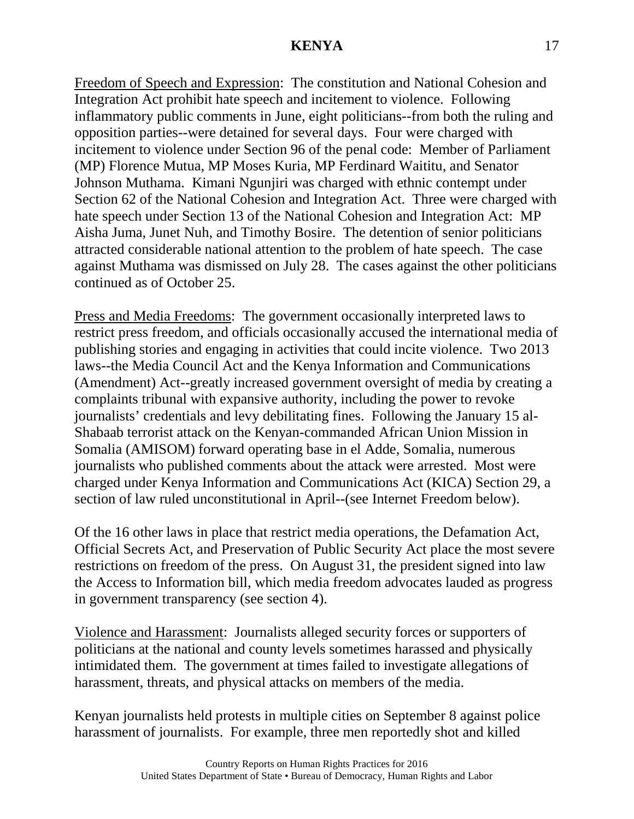Freedom of Speech and Expression: The constitution and National Cohesion and Integration Act prohibit hate speech and incitement to violence. Following inflammatory public comments in June, eight politicians--from both the ruling and opposition parties--were detained for several days. Four were charged with incitement to violence under Section 96 of the penal code: Member of Parliament (MP) Florence Mutua, MP Moses Kuria, MP Ferdinard Waititu, and Senator Johnson Muthama. Kimani Ngunjiri was charged with ethnic contempt under Section 62 of the National Cohesion and Integration Act. Three were charged with hate speech under Section 13 of the National Cohesion and Integration Act: MP Aisha Juma, Junet Nuh, and Timothy Bosire. The detention of senior politicians attracted considerable national attention to the problem of hate speech. The case against Muthama was dismissed on July 28. The cases against the other politicians continued as of October 25.

Press and Media Freedoms: The government occasionally interpreted laws to restrict press freedom, and officials occasionally accused the international media of publishing stories and engaging in activities that could incite violence. Two 2013 laws--the Media Council Act and the Kenya Information and Communications (Amendment) Act--greatly increased government oversight of media by creating a complaints tribunal with expansive authority, including the power to revoke journalists' credentials and levy debilitating fines. Following the January 15 al-Shabaab terrorist attack on the Kenyan-commanded African Union Mission in Somalia (AMISOM) forward operating base in el Adde, Somalia, numerous journalists who published comments about the attack were arrested. Most were charged under Kenya Information and Communications Act (KICA) Section 29, a section of law ruled unconstitutional in April--(see Internet Freedom below).

Of the 16 other laws in place that restrict media operations, the Defamation Act, Official Secrets Act, and Preservation of Public Security Act place the most severe restrictions on freedom of the press. On August 31, the president signed into law the Access to Information bill, which media freedom advocates lauded as progress in government transparency (see section 4).

Violence and Harassment: Journalists alleged security forces or supporters of politicians at the national and county levels sometimes harassed and physically intimidated them. The government at times failed to investigate allegations of harassment, threats, and physical attacks on members of the media.

Kenyan journalists held protests in multiple cities on September 8 against police harassment of journalists. For example, three men reportedly shot and killed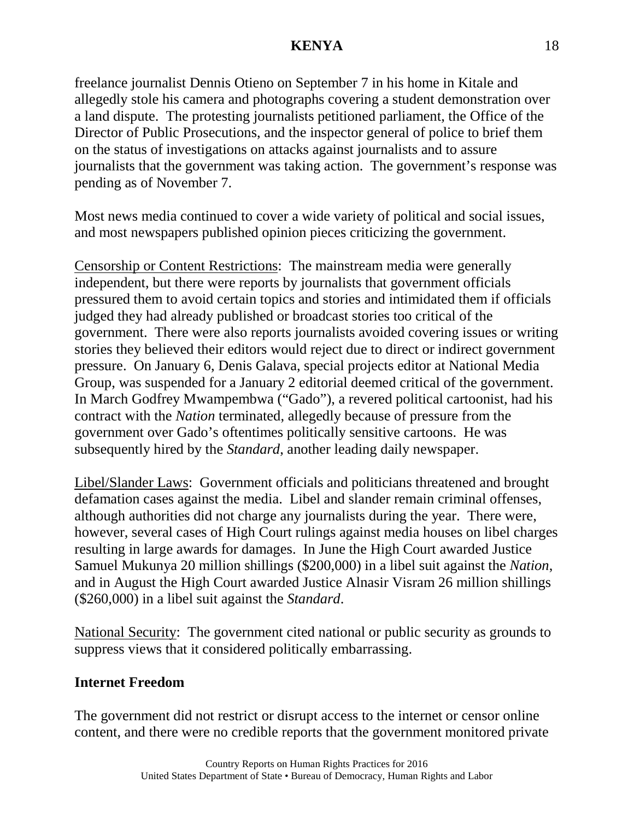freelance journalist Dennis Otieno on September 7 in his home in Kitale and allegedly stole his camera and photographs covering a student demonstration over a land dispute. The protesting journalists petitioned parliament, the Office of the Director of Public Prosecutions, and the inspector general of police to brief them on the status of investigations on attacks against journalists and to assure journalists that the government was taking action. The government's response was pending as of November 7.

Most news media continued to cover a wide variety of political and social issues, and most newspapers published opinion pieces criticizing the government.

Censorship or Content Restrictions: The mainstream media were generally independent, but there were reports by journalists that government officials pressured them to avoid certain topics and stories and intimidated them if officials judged they had already published or broadcast stories too critical of the government. There were also reports journalists avoided covering issues or writing stories they believed their editors would reject due to direct or indirect government pressure. On January 6, Denis Galava, special projects editor at National Media Group, was suspended for a January 2 editorial deemed critical of the government. In March Godfrey Mwampembwa ("Gado"), a revered political cartoonist, had his contract with the *Nation* terminated, allegedly because of pressure from the government over Gado's oftentimes politically sensitive cartoons. He was subsequently hired by the *Standard*, another leading daily newspaper.

Libel/Slander Laws: Government officials and politicians threatened and brought defamation cases against the media. Libel and slander remain criminal offenses, although authorities did not charge any journalists during the year. There were, however, several cases of High Court rulings against media houses on libel charges resulting in large awards for damages. In June the High Court awarded Justice Samuel Mukunya 20 million shillings (\$200,000) in a libel suit against the *Nation*, and in August the High Court awarded Justice Alnasir Visram 26 million shillings (\$260,000) in a libel suit against the *Standard*.

National Security: The government cited national or public security as grounds to suppress views that it considered politically embarrassing.

#### **Internet Freedom**

The government did not restrict or disrupt access to the internet or censor online content, and there were no credible reports that the government monitored private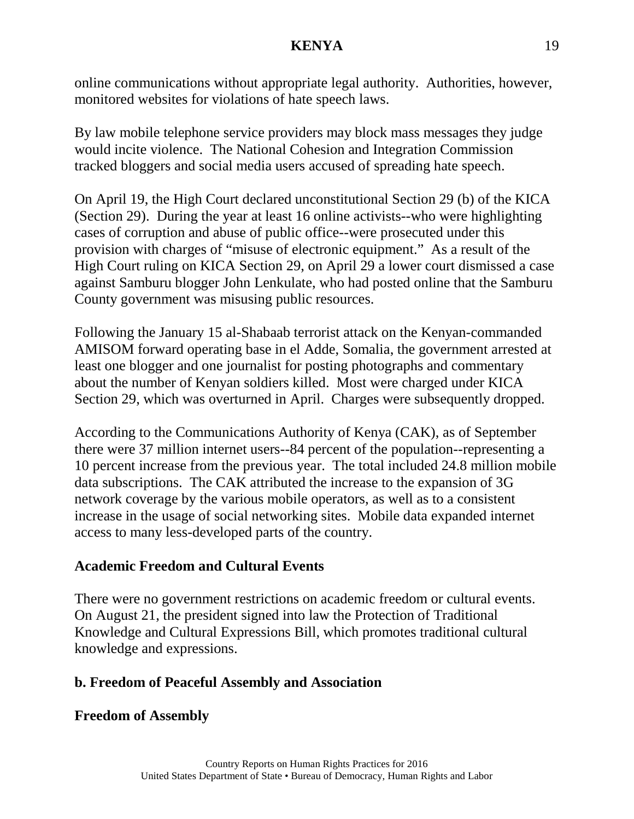online communications without appropriate legal authority. Authorities, however, monitored websites for violations of hate speech laws.

By law mobile telephone service providers may block mass messages they judge would incite violence. The National Cohesion and Integration Commission tracked bloggers and social media users accused of spreading hate speech.

On April 19, the High Court declared unconstitutional Section 29 (b) of the KICA (Section 29). During the year at least 16 online activists--who were highlighting cases of corruption and abuse of public office--were prosecuted under this provision with charges of "misuse of electronic equipment." As a result of the High Court ruling on KICA Section 29, on April 29 a lower court dismissed a case against Samburu blogger John Lenkulate, who had posted online that the Samburu County government was misusing public resources.

Following the January 15 al-Shabaab terrorist attack on the Kenyan-commanded AMISOM forward operating base in el Adde, Somalia, the government arrested at least one blogger and one journalist for posting photographs and commentary about the number of Kenyan soldiers killed. Most were charged under KICA Section 29, which was overturned in April. Charges were subsequently dropped.

According to the Communications Authority of Kenya (CAK), as of September there were 37 million internet users--84 percent of the population--representing a 10 percent increase from the previous year. The total included 24.8 million mobile data subscriptions. The CAK attributed the increase to the expansion of 3G network coverage by the various mobile operators, as well as to a consistent increase in the usage of social networking sites. Mobile data expanded internet access to many less-developed parts of the country.

## **Academic Freedom and Cultural Events**

There were no government restrictions on academic freedom or cultural events. On August 21, the president signed into law the Protection of Traditional Knowledge and Cultural Expressions Bill, which promotes traditional cultural knowledge and expressions.

# **b. Freedom of Peaceful Assembly and Association**

## **Freedom of Assembly**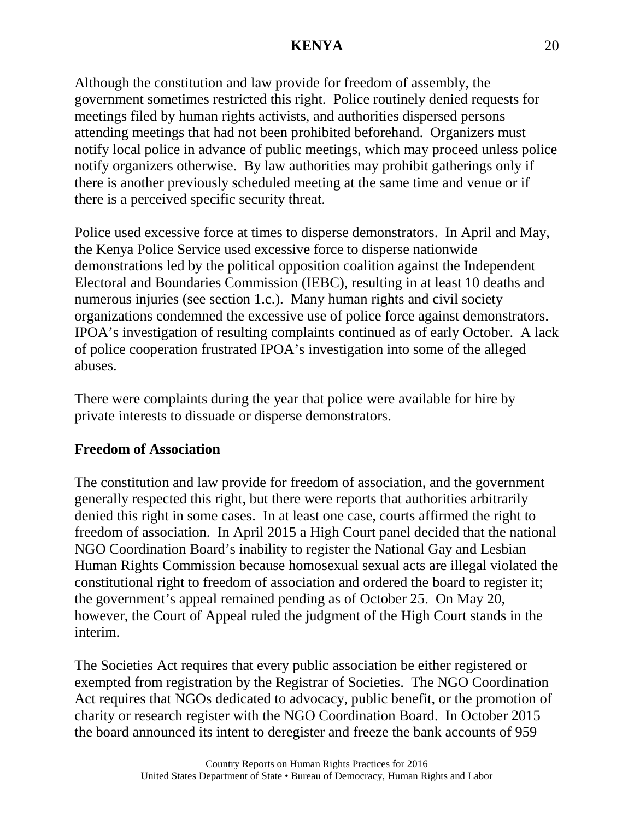Although the constitution and law provide for freedom of assembly, the government sometimes restricted this right. Police routinely denied requests for meetings filed by human rights activists, and authorities dispersed persons attending meetings that had not been prohibited beforehand. Organizers must notify local police in advance of public meetings, which may proceed unless police notify organizers otherwise. By law authorities may prohibit gatherings only if there is another previously scheduled meeting at the same time and venue or if there is a perceived specific security threat.

Police used excessive force at times to disperse demonstrators. In April and May, the Kenya Police Service used excessive force to disperse nationwide demonstrations led by the political opposition coalition against the Independent Electoral and Boundaries Commission (IEBC), resulting in at least 10 deaths and numerous injuries (see section 1.c.). Many human rights and civil society organizations condemned the excessive use of police force against demonstrators. IPOA's investigation of resulting complaints continued as of early October. A lack of police cooperation frustrated IPOA's investigation into some of the alleged abuses.

There were complaints during the year that police were available for hire by private interests to dissuade or disperse demonstrators.

## **Freedom of Association**

The constitution and law provide for freedom of association, and the government generally respected this right, but there were reports that authorities arbitrarily denied this right in some cases. In at least one case, courts affirmed the right to freedom of association. In April 2015 a High Court panel decided that the national NGO Coordination Board's inability to register the National Gay and Lesbian Human Rights Commission because homosexual sexual acts are illegal violated the constitutional right to freedom of association and ordered the board to register it; the government's appeal remained pending as of October 25. On May 20, however, the Court of Appeal ruled the judgment of the High Court stands in the interim.

The Societies Act requires that every public association be either registered or exempted from registration by the Registrar of Societies. The NGO Coordination Act requires that NGOs dedicated to advocacy, public benefit, or the promotion of charity or research register with the NGO Coordination Board. In October 2015 the board announced its intent to deregister and freeze the bank accounts of 959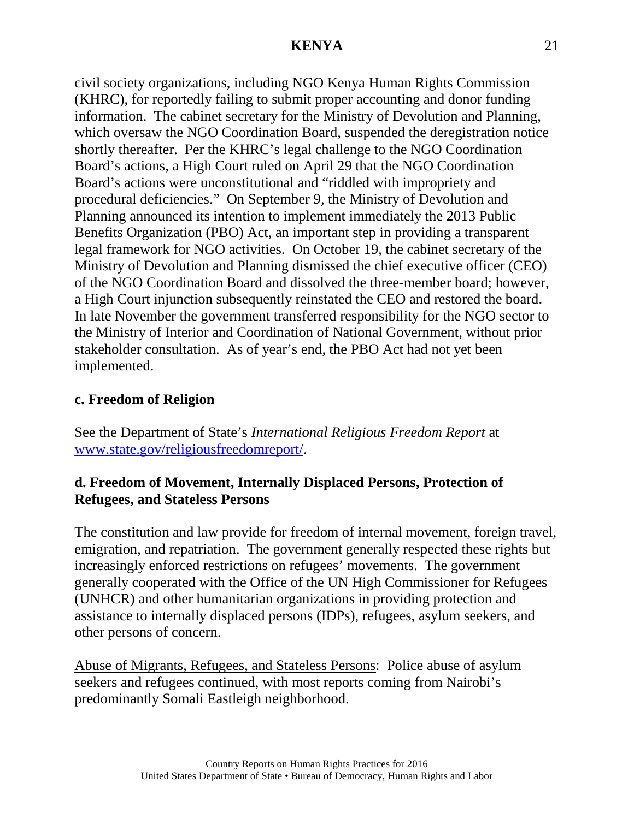civil society organizations, including NGO Kenya Human Rights Commission (KHRC), for reportedly failing to submit proper accounting and donor funding information. The cabinet secretary for the Ministry of Devolution and Planning, which oversaw the NGO Coordination Board, suspended the deregistration notice shortly thereafter. Per the KHRC's legal challenge to the NGO Coordination Board's actions, a High Court ruled on April 29 that the NGO Coordination Board's actions were unconstitutional and "riddled with impropriety and procedural deficiencies." On September 9, the Ministry of Devolution and Planning announced its intention to implement immediately the 2013 Public Benefits Organization (PBO) Act, an important step in providing a transparent legal framework for NGO activities. On October 19, the cabinet secretary of the Ministry of Devolution and Planning dismissed the chief executive officer (CEO) of the NGO Coordination Board and dissolved the three-member board; however, a High Court injunction subsequently reinstated the CEO and restored the board. In late November the government transferred responsibility for the NGO sector to the Ministry of Interior and Coordination of National Government, without prior stakeholder consultation. As of year's end, the PBO Act had not yet been implemented.

## **c. Freedom of Religion**

See the Department of State's *International Religious Freedom Report* at [www.state.gov/religiousfreedomreport/.](http://www.state.gov/religiousfreedomreport/)

## **d. Freedom of Movement, Internally Displaced Persons, Protection of Refugees, and Stateless Persons**

The constitution and law provide for freedom of internal movement, foreign travel, emigration, and repatriation. The government generally respected these rights but increasingly enforced restrictions on refugees' movements. The government generally cooperated with the Office of the UN High Commissioner for Refugees (UNHCR) and other humanitarian organizations in providing protection and assistance to internally displaced persons (IDPs), refugees, asylum seekers, and other persons of concern.

Abuse of Migrants, Refugees, and Stateless Persons: Police abuse of asylum seekers and refugees continued, with most reports coming from Nairobi's predominantly Somali Eastleigh neighborhood.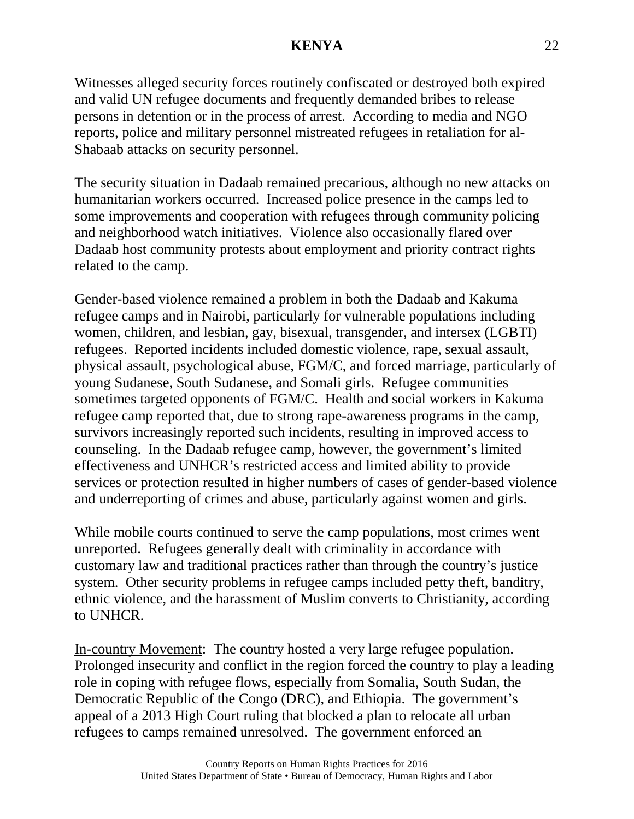Witnesses alleged security forces routinely confiscated or destroyed both expired and valid UN refugee documents and frequently demanded bribes to release persons in detention or in the process of arrest. According to media and NGO reports, police and military personnel mistreated refugees in retaliation for al-Shabaab attacks on security personnel.

The security situation in Dadaab remained precarious, although no new attacks on humanitarian workers occurred. Increased police presence in the camps led to some improvements and cooperation with refugees through community policing and neighborhood watch initiatives. Violence also occasionally flared over Dadaab host community protests about employment and priority contract rights related to the camp.

Gender-based violence remained a problem in both the Dadaab and Kakuma refugee camps and in Nairobi, particularly for vulnerable populations including women, children, and lesbian, gay, bisexual, transgender, and intersex (LGBTI) refugees. Reported incidents included domestic violence, rape, sexual assault, physical assault, psychological abuse, FGM/C, and forced marriage, particularly of young Sudanese, South Sudanese, and Somali girls. Refugee communities sometimes targeted opponents of FGM/C. Health and social workers in Kakuma refugee camp reported that, due to strong rape-awareness programs in the camp, survivors increasingly reported such incidents, resulting in improved access to counseling. In the Dadaab refugee camp, however, the government's limited effectiveness and UNHCR's restricted access and limited ability to provide services or protection resulted in higher numbers of cases of gender-based violence and underreporting of crimes and abuse, particularly against women and girls.

While mobile courts continued to serve the camp populations, most crimes went unreported. Refugees generally dealt with criminality in accordance with customary law and traditional practices rather than through the country's justice system. Other security problems in refugee camps included petty theft, banditry, ethnic violence, and the harassment of Muslim converts to Christianity, according to UNHCR.

In-country Movement: The country hosted a very large refugee population. Prolonged insecurity and conflict in the region forced the country to play a leading role in coping with refugee flows, especially from Somalia, South Sudan, the Democratic Republic of the Congo (DRC), and Ethiopia. The government's appeal of a 2013 High Court ruling that blocked a plan to relocate all urban refugees to camps remained unresolved. The government enforced an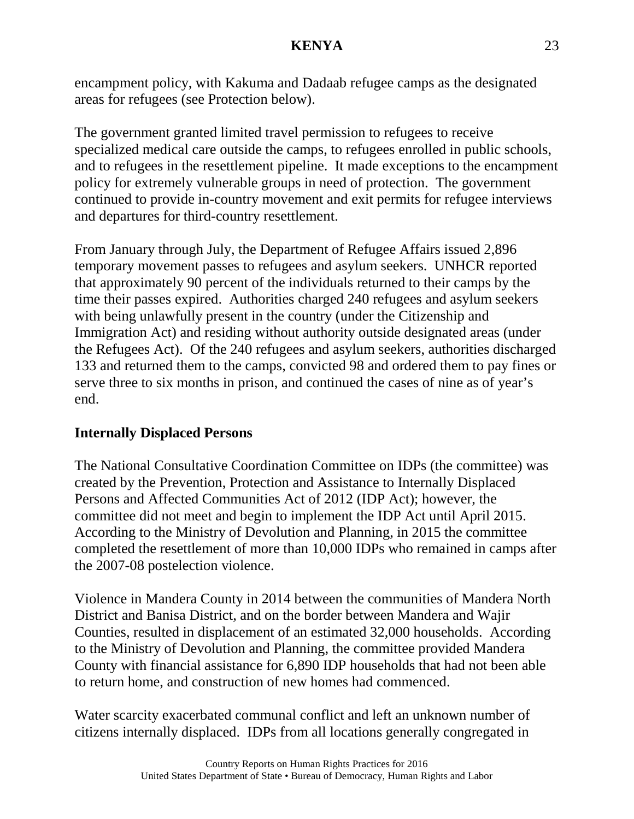encampment policy, with Kakuma and Dadaab refugee camps as the designated areas for refugees (see Protection below).

The government granted limited travel permission to refugees to receive specialized medical care outside the camps, to refugees enrolled in public schools, and to refugees in the resettlement pipeline. It made exceptions to the encampment policy for extremely vulnerable groups in need of protection. The government continued to provide in-country movement and exit permits for refugee interviews and departures for third-country resettlement.

From January through July, the Department of Refugee Affairs issued 2,896 temporary movement passes to refugees and asylum seekers. UNHCR reported that approximately 90 percent of the individuals returned to their camps by the time their passes expired. Authorities charged 240 refugees and asylum seekers with being unlawfully present in the country (under the Citizenship and Immigration Act) and residing without authority outside designated areas (under the Refugees Act). Of the 240 refugees and asylum seekers, authorities discharged 133 and returned them to the camps, convicted 98 and ordered them to pay fines or serve three to six months in prison, and continued the cases of nine as of year's end.

## **Internally Displaced Persons**

The National Consultative Coordination Committee on IDPs (the committee) was created by the Prevention, Protection and Assistance to Internally Displaced Persons and Affected Communities Act of 2012 (IDP Act); however, the committee did not meet and begin to implement the IDP Act until April 2015. According to the Ministry of Devolution and Planning, in 2015 the committee completed the resettlement of more than 10,000 IDPs who remained in camps after the 2007-08 postelection violence.

Violence in Mandera County in 2014 between the communities of Mandera North District and Banisa District, and on the border between Mandera and Wajir Counties, resulted in displacement of an estimated 32,000 households. According to the Ministry of Devolution and Planning, the committee provided Mandera County with financial assistance for 6,890 IDP households that had not been able to return home, and construction of new homes had commenced.

Water scarcity exacerbated communal conflict and left an unknown number of citizens internally displaced. IDPs from all locations generally congregated in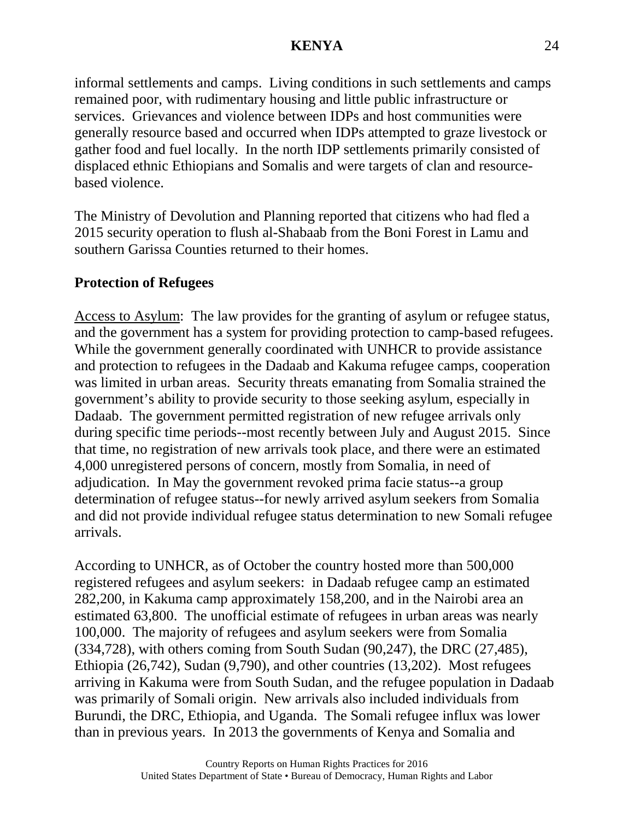informal settlements and camps. Living conditions in such settlements and camps remained poor, with rudimentary housing and little public infrastructure or services. Grievances and violence between IDPs and host communities were generally resource based and occurred when IDPs attempted to graze livestock or gather food and fuel locally. In the north IDP settlements primarily consisted of displaced ethnic Ethiopians and Somalis and were targets of clan and resourcebased violence.

The Ministry of Devolution and Planning reported that citizens who had fled a 2015 security operation to flush al-Shabaab from the Boni Forest in Lamu and southern Garissa Counties returned to their homes.

# **Protection of Refugees**

Access to Asylum: The law provides for the granting of asylum or refugee status, and the government has a system for providing protection to camp-based refugees. While the government generally coordinated with UNHCR to provide assistance and protection to refugees in the Dadaab and Kakuma refugee camps, cooperation was limited in urban areas. Security threats emanating from Somalia strained the government's ability to provide security to those seeking asylum, especially in Dadaab. The government permitted registration of new refugee arrivals only during specific time periods--most recently between July and August 2015. Since that time, no registration of new arrivals took place, and there were an estimated 4,000 unregistered persons of concern, mostly from Somalia, in need of adjudication. In May the government revoked prima facie status--a group determination of refugee status--for newly arrived asylum seekers from Somalia and did not provide individual refugee status determination to new Somali refugee arrivals.

According to UNHCR, as of October the country hosted more than 500,000 registered refugees and asylum seekers: in Dadaab refugee camp an estimated 282,200, in Kakuma camp approximately 158,200, and in the Nairobi area an estimated 63,800. The unofficial estimate of refugees in urban areas was nearly 100,000. The majority of refugees and asylum seekers were from Somalia (334,728), with others coming from South Sudan (90,247), the DRC (27,485), Ethiopia (26,742), Sudan (9,790), and other countries (13,202). Most refugees arriving in Kakuma were from South Sudan, and the refugee population in Dadaab was primarily of Somali origin. New arrivals also included individuals from Burundi, the DRC, Ethiopia, and Uganda. The Somali refugee influx was lower than in previous years. In 2013 the governments of Kenya and Somalia and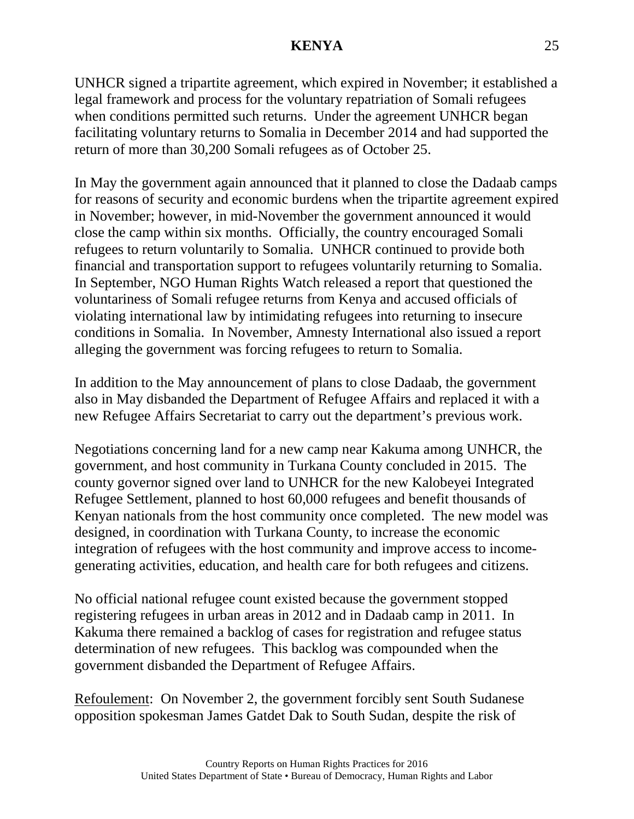UNHCR signed a tripartite agreement, which expired in November; it established a legal framework and process for the voluntary repatriation of Somali refugees when conditions permitted such returns. Under the agreement UNHCR began facilitating voluntary returns to Somalia in December 2014 and had supported the return of more than 30,200 Somali refugees as of October 25.

In May the government again announced that it planned to close the Dadaab camps for reasons of security and economic burdens when the tripartite agreement expired in November; however, in mid-November the government announced it would close the camp within six months. Officially, the country encouraged Somali refugees to return voluntarily to Somalia. UNHCR continued to provide both financial and transportation support to refugees voluntarily returning to Somalia. In September, NGO Human Rights Watch released a report that questioned the voluntariness of Somali refugee returns from Kenya and accused officials of violating international law by intimidating refugees into returning to insecure conditions in Somalia. In November, Amnesty International also issued a report alleging the government was forcing refugees to return to Somalia.

In addition to the May announcement of plans to close Dadaab, the government also in May disbanded the Department of Refugee Affairs and replaced it with a new Refugee Affairs Secretariat to carry out the department's previous work.

Negotiations concerning land for a new camp near Kakuma among UNHCR, the government, and host community in Turkana County concluded in 2015. The county governor signed over land to UNHCR for the new Kalobeyei Integrated Refugee Settlement, planned to host 60,000 refugees and benefit thousands of Kenyan nationals from the host community once completed. The new model was designed, in coordination with Turkana County, to increase the economic integration of refugees with the host community and improve access to incomegenerating activities, education, and health care for both refugees and citizens.

No official national refugee count existed because the government stopped registering refugees in urban areas in 2012 and in Dadaab camp in 2011. In Kakuma there remained a backlog of cases for registration and refugee status determination of new refugees. This backlog was compounded when the government disbanded the Department of Refugee Affairs.

Refoulement: On November 2, the government forcibly sent South Sudanese opposition spokesman James Gatdet Dak to South Sudan, despite the risk of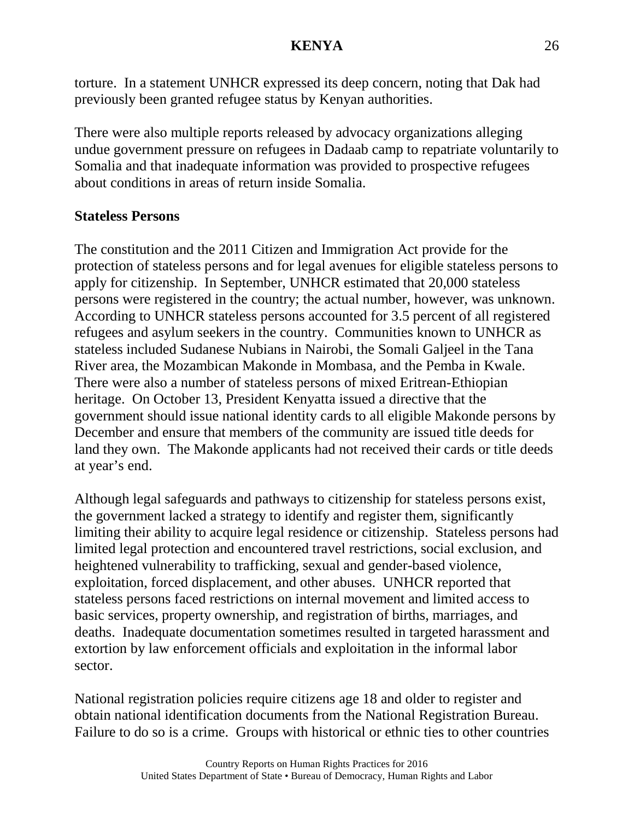torture. In a statement UNHCR expressed its deep concern, noting that Dak had previously been granted refugee status by Kenyan authorities.

There were also multiple reports released by advocacy organizations alleging undue government pressure on refugees in Dadaab camp to repatriate voluntarily to Somalia and that inadequate information was provided to prospective refugees about conditions in areas of return inside Somalia.

## **Stateless Persons**

The constitution and the 2011 Citizen and Immigration Act provide for the protection of stateless persons and for legal avenues for eligible stateless persons to apply for citizenship. In September, UNHCR estimated that 20,000 stateless persons were registered in the country; the actual number, however, was unknown. According to UNHCR stateless persons accounted for 3.5 percent of all registered refugees and asylum seekers in the country. Communities known to UNHCR as stateless included Sudanese Nubians in Nairobi, the Somali Galjeel in the Tana River area, the Mozambican Makonde in Mombasa, and the Pemba in Kwale. There were also a number of stateless persons of mixed Eritrean-Ethiopian heritage. On October 13, President Kenyatta issued a directive that the government should issue national identity cards to all eligible Makonde persons by December and ensure that members of the community are issued title deeds for land they own. The Makonde applicants had not received their cards or title deeds at year's end.

Although legal safeguards and pathways to citizenship for stateless persons exist, the government lacked a strategy to identify and register them, significantly limiting their ability to acquire legal residence or citizenship. Stateless persons had limited legal protection and encountered travel restrictions, social exclusion, and heightened vulnerability to trafficking, sexual and gender-based violence, exploitation, forced displacement, and other abuses. UNHCR reported that stateless persons faced restrictions on internal movement and limited access to basic services, property ownership, and registration of births, marriages, and deaths. Inadequate documentation sometimes resulted in targeted harassment and extortion by law enforcement officials and exploitation in the informal labor sector.

National registration policies require citizens age 18 and older to register and obtain national identification documents from the National Registration Bureau. Failure to do so is a crime. Groups with historical or ethnic ties to other countries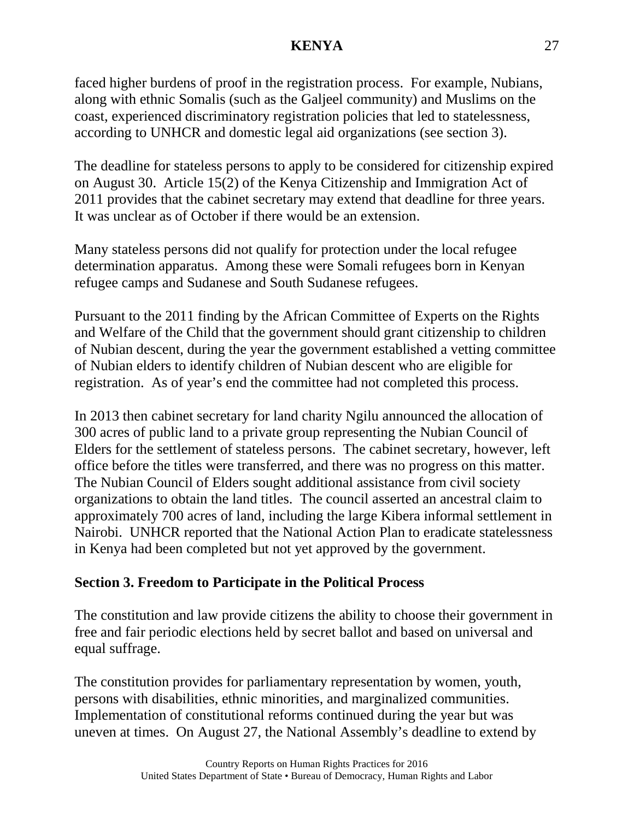faced higher burdens of proof in the registration process. For example, Nubians, along with ethnic Somalis (such as the Galjeel community) and Muslims on the coast, experienced discriminatory registration policies that led to statelessness, according to UNHCR and domestic legal aid organizations (see section 3).

The deadline for stateless persons to apply to be considered for citizenship expired on August 30. Article 15(2) of the Kenya Citizenship and Immigration Act of 2011 provides that the cabinet secretary may extend that deadline for three years. It was unclear as of October if there would be an extension.

Many stateless persons did not qualify for protection under the local refugee determination apparatus. Among these were Somali refugees born in Kenyan refugee camps and Sudanese and South Sudanese refugees.

Pursuant to the 2011 finding by the African Committee of Experts on the Rights and Welfare of the Child that the government should grant citizenship to children of Nubian descent, during the year the government established a vetting committee of Nubian elders to identify children of Nubian descent who are eligible for registration. As of year's end the committee had not completed this process.

In 2013 then cabinet secretary for land charity Ngilu announced the allocation of 300 acres of public land to a private group representing the Nubian Council of Elders for the settlement of stateless persons. The cabinet secretary, however, left office before the titles were transferred, and there was no progress on this matter. The Nubian Council of Elders sought additional assistance from civil society organizations to obtain the land titles. The council asserted an ancestral claim to approximately 700 acres of land, including the large Kibera informal settlement in Nairobi. UNHCR reported that the National Action Plan to eradicate statelessness in Kenya had been completed but not yet approved by the government.

## **Section 3. Freedom to Participate in the Political Process**

The constitution and law provide citizens the ability to choose their government in free and fair periodic elections held by secret ballot and based on universal and equal suffrage.

The constitution provides for parliamentary representation by women, youth, persons with disabilities, ethnic minorities, and marginalized communities. Implementation of constitutional reforms continued during the year but was uneven at times. On August 27, the National Assembly's deadline to extend by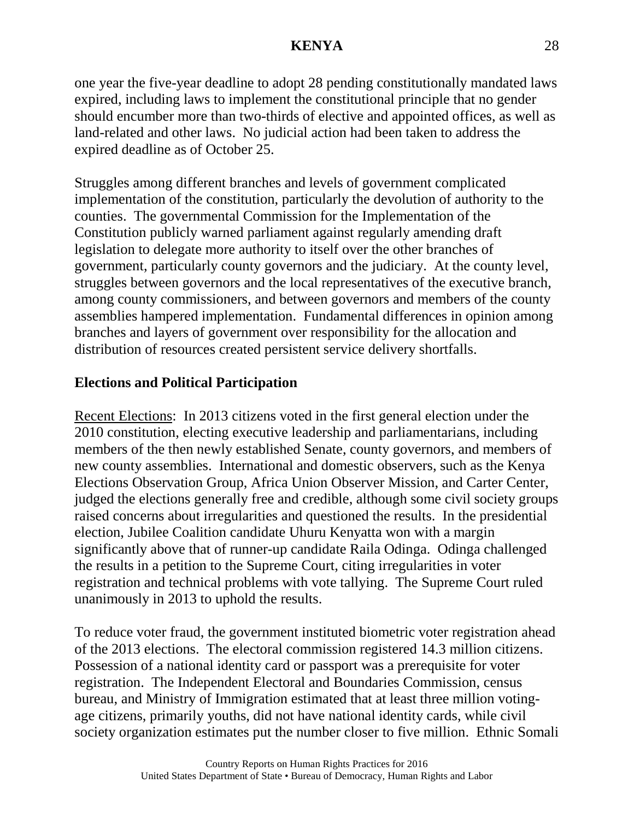one year the five-year deadline to adopt 28 pending constitutionally mandated laws expired, including laws to implement the constitutional principle that no gender should encumber more than two-thirds of elective and appointed offices, as well as land-related and other laws. No judicial action had been taken to address the expired deadline as of October 25.

Struggles among different branches and levels of government complicated implementation of the constitution, particularly the devolution of authority to the counties. The governmental Commission for the Implementation of the Constitution publicly warned parliament against regularly amending draft legislation to delegate more authority to itself over the other branches of government, particularly county governors and the judiciary. At the county level, struggles between governors and the local representatives of the executive branch, among county commissioners, and between governors and members of the county assemblies hampered implementation. Fundamental differences in opinion among branches and layers of government over responsibility for the allocation and distribution of resources created persistent service delivery shortfalls.

# **Elections and Political Participation**

Recent Elections: In 2013 citizens voted in the first general election under the 2010 constitution, electing executive leadership and parliamentarians, including members of the then newly established Senate, county governors, and members of new county assemblies. International and domestic observers, such as the Kenya Elections Observation Group, Africa Union Observer Mission, and Carter Center, judged the elections generally free and credible, although some civil society groups raised concerns about irregularities and questioned the results. In the presidential election, Jubilee Coalition candidate Uhuru Kenyatta won with a margin significantly above that of runner-up candidate Raila Odinga. Odinga challenged the results in a petition to the Supreme Court, citing irregularities in voter registration and technical problems with vote tallying. The Supreme Court ruled unanimously in 2013 to uphold the results.

To reduce voter fraud, the government instituted biometric voter registration ahead of the 2013 elections. The electoral commission registered 14.3 million citizens. Possession of a national identity card or passport was a prerequisite for voter registration. The Independent Electoral and Boundaries Commission, census bureau, and Ministry of Immigration estimated that at least three million votingage citizens, primarily youths, did not have national identity cards, while civil society organization estimates put the number closer to five million. Ethnic Somali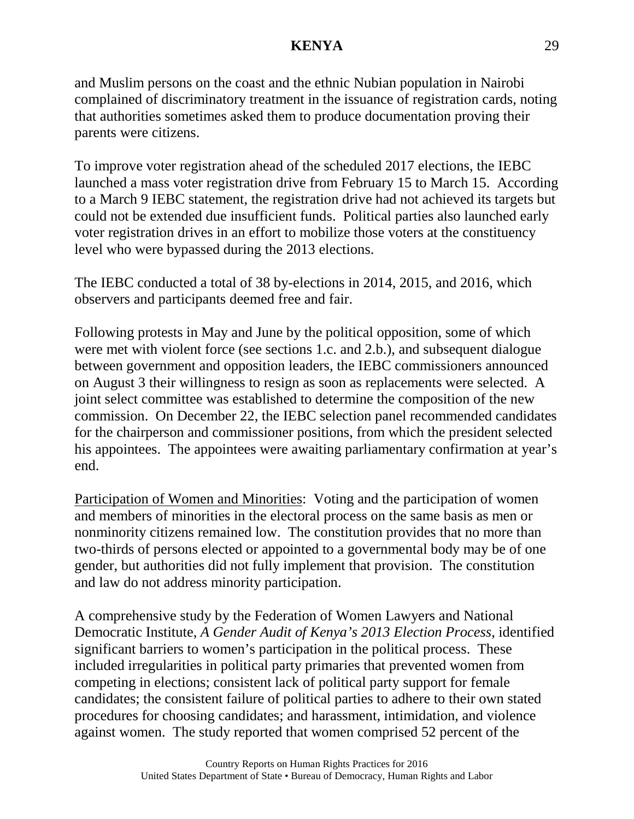and Muslim persons on the coast and the ethnic Nubian population in Nairobi complained of discriminatory treatment in the issuance of registration cards, noting that authorities sometimes asked them to produce documentation proving their parents were citizens.

To improve voter registration ahead of the scheduled 2017 elections, the IEBC launched a mass voter registration drive from February 15 to March 15. According to a March 9 IEBC statement, the registration drive had not achieved its targets but could not be extended due insufficient funds. Political parties also launched early voter registration drives in an effort to mobilize those voters at the constituency level who were bypassed during the 2013 elections.

The IEBC conducted a total of 38 by-elections in 2014, 2015, and 2016, which observers and participants deemed free and fair.

Following protests in May and June by the political opposition, some of which were met with violent force (see sections 1.c. and 2.b.), and subsequent dialogue between government and opposition leaders, the IEBC commissioners announced on August 3 their willingness to resign as soon as replacements were selected. A joint select committee was established to determine the composition of the new commission. On December 22, the IEBC selection panel recommended candidates for the chairperson and commissioner positions, from which the president selected his appointees. The appointees were awaiting parliamentary confirmation at year's end.

Participation of Women and Minorities: Voting and the participation of women and members of minorities in the electoral process on the same basis as men or nonminority citizens remained low. The constitution provides that no more than two-thirds of persons elected or appointed to a governmental body may be of one gender, but authorities did not fully implement that provision. The constitution and law do not address minority participation.

A comprehensive study by the Federation of Women Lawyers and National Democratic Institute, *A Gender Audit of Kenya's 2013 Election Process*, identified significant barriers to women's participation in the political process. These included irregularities in political party primaries that prevented women from competing in elections; consistent lack of political party support for female candidates; the consistent failure of political parties to adhere to their own stated procedures for choosing candidates; and harassment, intimidation, and violence against women. The study reported that women comprised 52 percent of the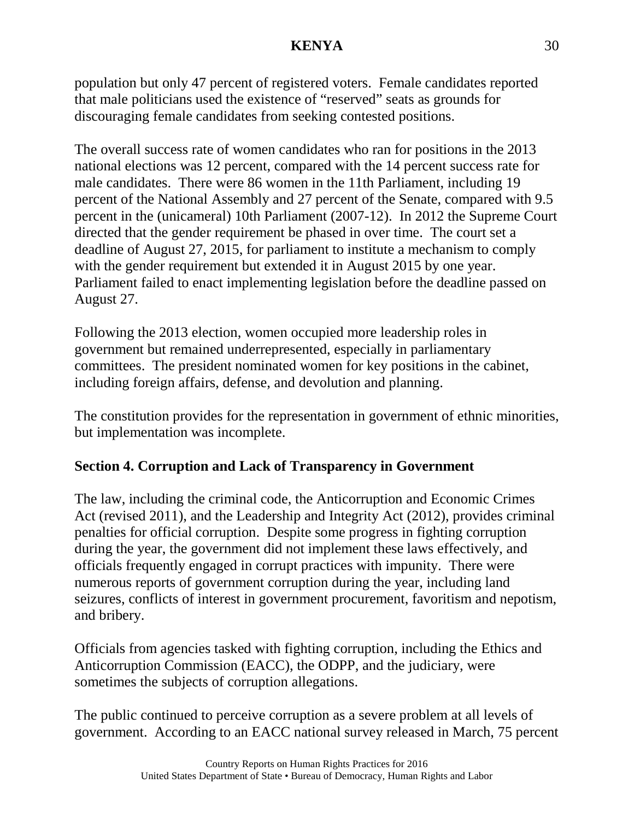population but only 47 percent of registered voters. Female candidates reported that male politicians used the existence of "reserved" seats as grounds for discouraging female candidates from seeking contested positions.

The overall success rate of women candidates who ran for positions in the 2013 national elections was 12 percent, compared with the 14 percent success rate for male candidates. There were 86 women in the 11th Parliament, including 19 percent of the National Assembly and 27 percent of the Senate, compared with 9.5 percent in the (unicameral) 10th Parliament (2007-12). In 2012 the Supreme Court directed that the gender requirement be phased in over time. The court set a deadline of August 27, 2015, for parliament to institute a mechanism to comply with the gender requirement but extended it in August 2015 by one year. Parliament failed to enact implementing legislation before the deadline passed on August 27.

Following the 2013 election, women occupied more leadership roles in government but remained underrepresented, especially in parliamentary committees. The president nominated women for key positions in the cabinet, including foreign affairs, defense, and devolution and planning.

The constitution provides for the representation in government of ethnic minorities, but implementation was incomplete.

## **Section 4. Corruption and Lack of Transparency in Government**

The law, including the criminal code, the Anticorruption and Economic Crimes Act (revised 2011), and the Leadership and Integrity Act (2012), provides criminal penalties for official corruption. Despite some progress in fighting corruption during the year, the government did not implement these laws effectively, and officials frequently engaged in corrupt practices with impunity. There were numerous reports of government corruption during the year, including land seizures, conflicts of interest in government procurement, favoritism and nepotism, and bribery.

Officials from agencies tasked with fighting corruption, including the Ethics and Anticorruption Commission (EACC), the ODPP, and the judiciary, were sometimes the subjects of corruption allegations.

The public continued to perceive corruption as a severe problem at all levels of government. According to an EACC national survey released in March, 75 percent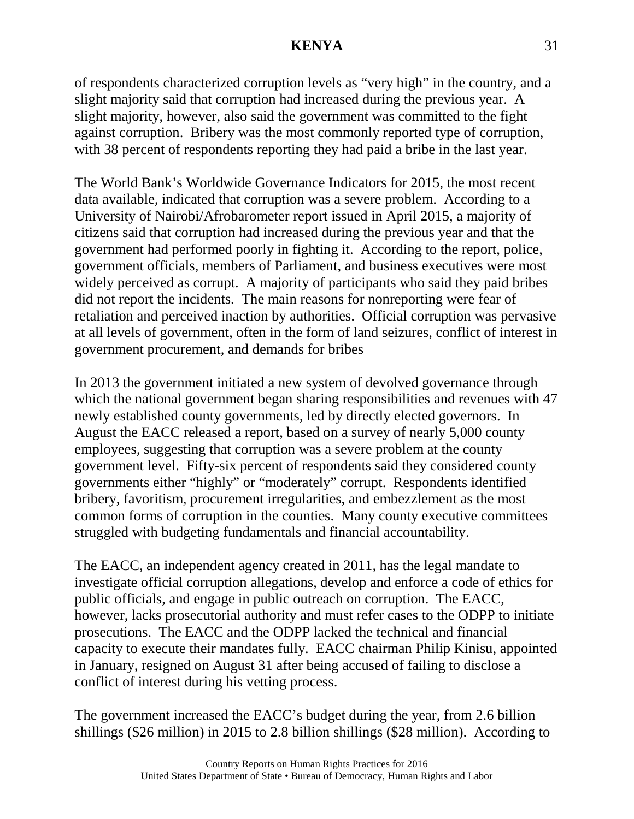of respondents characterized corruption levels as "very high" in the country, and a slight majority said that corruption had increased during the previous year. A slight majority, however, also said the government was committed to the fight against corruption. Bribery was the most commonly reported type of corruption, with 38 percent of respondents reporting they had paid a bribe in the last year.

The World Bank's Worldwide Governance Indicators for 2015, the most recent data available, indicated that corruption was a severe problem. According to a University of Nairobi/Afrobarometer report issued in April 2015, a majority of citizens said that corruption had increased during the previous year and that the government had performed poorly in fighting it. According to the report, police, government officials, members of Parliament, and business executives were most widely perceived as corrupt. A majority of participants who said they paid bribes did not report the incidents. The main reasons for nonreporting were fear of retaliation and perceived inaction by authorities. Official corruption was pervasive at all levels of government, often in the form of land seizures, conflict of interest in government procurement, and demands for bribes

In 2013 the government initiated a new system of devolved governance through which the national government began sharing responsibilities and revenues with 47 newly established county governments, led by directly elected governors. In August the EACC released a report, based on a survey of nearly 5,000 county employees, suggesting that corruption was a severe problem at the county government level. Fifty-six percent of respondents said they considered county governments either "highly" or "moderately" corrupt. Respondents identified bribery, favoritism, procurement irregularities, and embezzlement as the most common forms of corruption in the counties. Many county executive committees struggled with budgeting fundamentals and financial accountability.

The EACC, an independent agency created in 2011, has the legal mandate to investigate official corruption allegations, develop and enforce a code of ethics for public officials, and engage in public outreach on corruption. The EACC, however, lacks prosecutorial authority and must refer cases to the ODPP to initiate prosecutions. The EACC and the ODPP lacked the technical and financial capacity to execute their mandates fully. EACC chairman Philip Kinisu, appointed in January, resigned on August 31 after being accused of failing to disclose a conflict of interest during his vetting process.

The government increased the EACC's budget during the year, from 2.6 billion shillings (\$26 million) in 2015 to 2.8 billion shillings (\$28 million). According to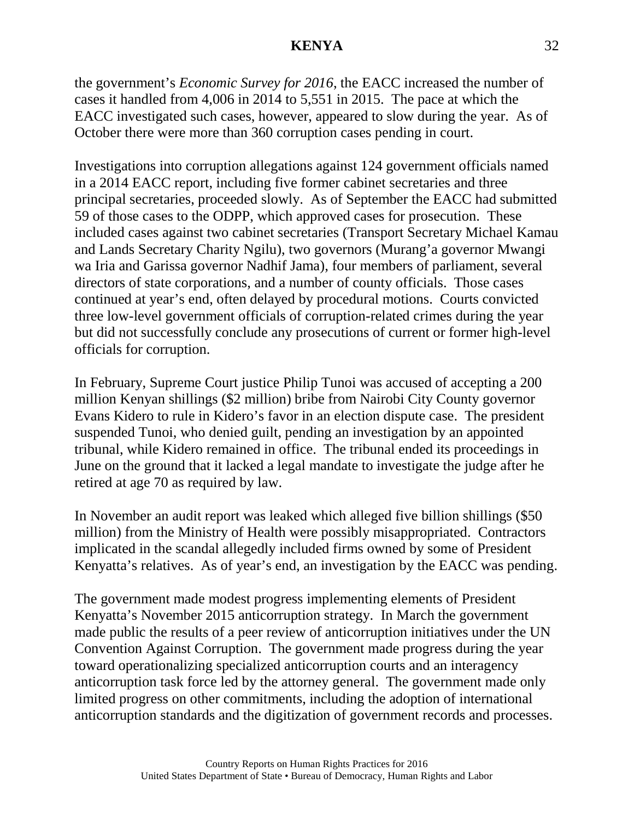the government's *Economic Survey for 2016*, the EACC increased the number of cases it handled from 4,006 in 2014 to 5,551 in 2015. The pace at which the EACC investigated such cases, however, appeared to slow during the year. As of October there were more than 360 corruption cases pending in court.

Investigations into corruption allegations against 124 government officials named in a 2014 EACC report, including five former cabinet secretaries and three principal secretaries, proceeded slowly. As of September the EACC had submitted 59 of those cases to the ODPP, which approved cases for prosecution. These included cases against two cabinet secretaries (Transport Secretary Michael Kamau and Lands Secretary Charity Ngilu), two governors (Murang'a governor Mwangi wa Iria and Garissa governor Nadhif Jama), four members of parliament, several directors of state corporations, and a number of county officials. Those cases continued at year's end, often delayed by procedural motions. Courts convicted three low-level government officials of corruption-related crimes during the year but did not successfully conclude any prosecutions of current or former high-level officials for corruption.

In February, Supreme Court justice Philip Tunoi was accused of accepting a 200 million Kenyan shillings (\$2 million) bribe from Nairobi City County governor Evans Kidero to rule in Kidero's favor in an election dispute case. The president suspended Tunoi, who denied guilt, pending an investigation by an appointed tribunal, while Kidero remained in office. The tribunal ended its proceedings in June on the ground that it lacked a legal mandate to investigate the judge after he retired at age 70 as required by law.

In November an audit report was leaked which alleged five billion shillings (\$50 million) from the Ministry of Health were possibly misappropriated. Contractors implicated in the scandal allegedly included firms owned by some of President Kenyatta's relatives. As of year's end, an investigation by the EACC was pending.

The government made modest progress implementing elements of President Kenyatta's November 2015 anticorruption strategy. In March the government made public the results of a peer review of anticorruption initiatives under the UN Convention Against Corruption. The government made progress during the year toward operationalizing specialized anticorruption courts and an interagency anticorruption task force led by the attorney general. The government made only limited progress on other commitments, including the adoption of international anticorruption standards and the digitization of government records and processes.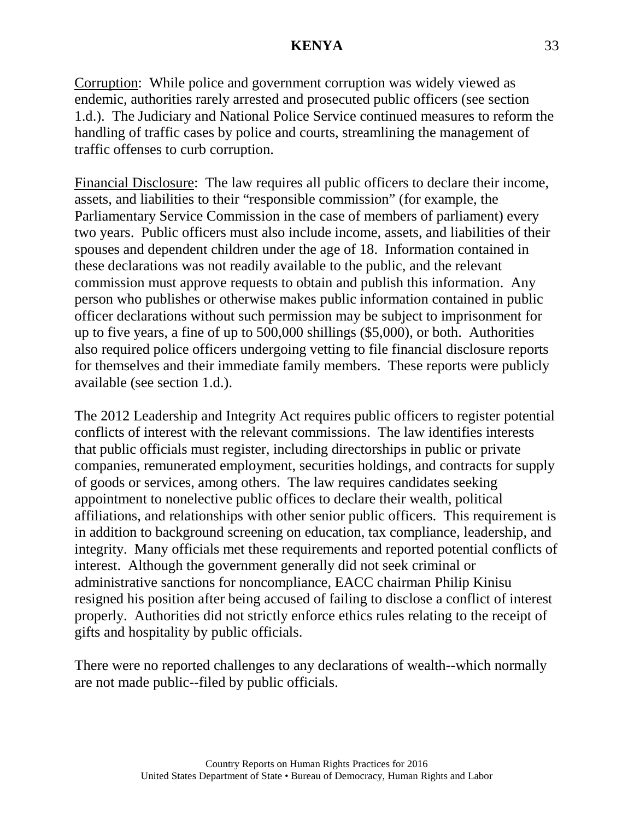Corruption: While police and government corruption was widely viewed as endemic, authorities rarely arrested and prosecuted public officers (see section 1.d.). The Judiciary and National Police Service continued measures to reform the handling of traffic cases by police and courts, streamlining the management of traffic offenses to curb corruption.

Financial Disclosure: The law requires all public officers to declare their income, assets, and liabilities to their "responsible commission" (for example, the Parliamentary Service Commission in the case of members of parliament) every two years. Public officers must also include income, assets, and liabilities of their spouses and dependent children under the age of 18. Information contained in these declarations was not readily available to the public, and the relevant commission must approve requests to obtain and publish this information. Any person who publishes or otherwise makes public information contained in public officer declarations without such permission may be subject to imprisonment for up to five years, a fine of up to 500,000 shillings (\$5,000), or both. Authorities also required police officers undergoing vetting to file financial disclosure reports for themselves and their immediate family members. These reports were publicly available (see section 1.d.).

The 2012 Leadership and Integrity Act requires public officers to register potential conflicts of interest with the relevant commissions. The law identifies interests that public officials must register, including directorships in public or private companies, remunerated employment, securities holdings, and contracts for supply of goods or services, among others. The law requires candidates seeking appointment to nonelective public offices to declare their wealth, political affiliations, and relationships with other senior public officers. This requirement is in addition to background screening on education, tax compliance, leadership, and integrity. Many officials met these requirements and reported potential conflicts of interest. Although the government generally did not seek criminal or administrative sanctions for noncompliance, EACC chairman Philip Kinisu resigned his position after being accused of failing to disclose a conflict of interest properly. Authorities did not strictly enforce ethics rules relating to the receipt of gifts and hospitality by public officials.

There were no reported challenges to any declarations of wealth--which normally are not made public--filed by public officials.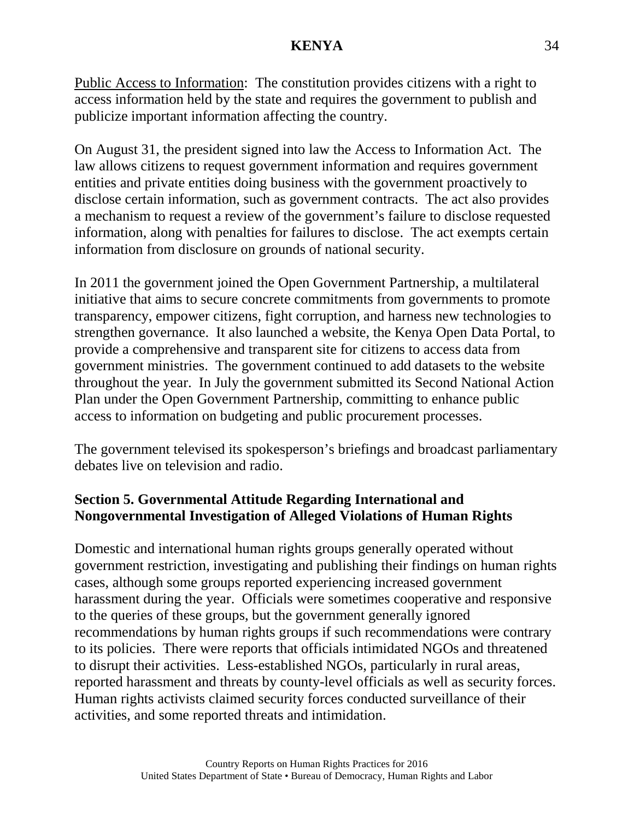Public Access to Information: The constitution provides citizens with a right to access information held by the state and requires the government to publish and publicize important information affecting the country.

On August 31, the president signed into law the Access to Information Act. The law allows citizens to request government information and requires government entities and private entities doing business with the government proactively to disclose certain information, such as government contracts. The act also provides a mechanism to request a review of the government's failure to disclose requested information, along with penalties for failures to disclose. The act exempts certain information from disclosure on grounds of national security.

In 2011 the government joined the Open Government Partnership, a multilateral initiative that aims to secure concrete commitments from governments to promote transparency, empower citizens, fight corruption, and harness new technologies to strengthen governance. It also launched a website, the Kenya Open Data Portal, to provide a comprehensive and transparent site for citizens to access data from government ministries. The government continued to add datasets to the website throughout the year. In July the government submitted its Second National Action Plan under the Open Government Partnership, committing to enhance public access to information on budgeting and public procurement processes.

The government televised its spokesperson's briefings and broadcast parliamentary debates live on television and radio.

# **Section 5. Governmental Attitude Regarding International and Nongovernmental Investigation of Alleged Violations of Human Rights**

Domestic and international human rights groups generally operated without government restriction, investigating and publishing their findings on human rights cases, although some groups reported experiencing increased government harassment during the year. Officials were sometimes cooperative and responsive to the queries of these groups, but the government generally ignored recommendations by human rights groups if such recommendations were contrary to its policies. There were reports that officials intimidated NGOs and threatened to disrupt their activities. Less-established NGOs, particularly in rural areas, reported harassment and threats by county-level officials as well as security forces. Human rights activists claimed security forces conducted surveillance of their activities, and some reported threats and intimidation.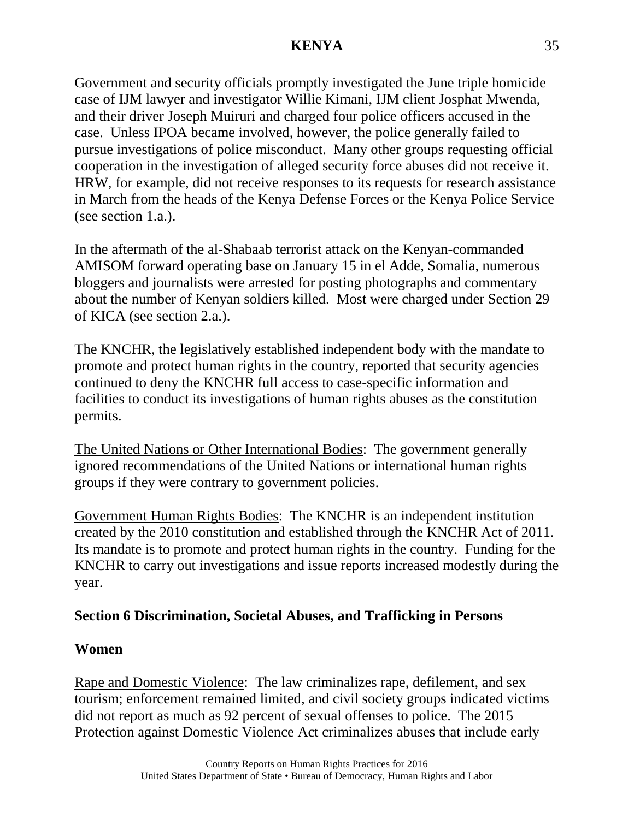Government and security officials promptly investigated the June triple homicide case of IJM lawyer and investigator Willie Kimani, IJM client Josphat Mwenda, and their driver Joseph Muiruri and charged four police officers accused in the case. Unless IPOA became involved, however, the police generally failed to pursue investigations of police misconduct. Many other groups requesting official cooperation in the investigation of alleged security force abuses did not receive it. HRW, for example, did not receive responses to its requests for research assistance in March from the heads of the Kenya Defense Forces or the Kenya Police Service (see section 1.a.).

In the aftermath of the al-Shabaab terrorist attack on the Kenyan-commanded AMISOM forward operating base on January 15 in el Adde, Somalia, numerous bloggers and journalists were arrested for posting photographs and commentary about the number of Kenyan soldiers killed. Most were charged under Section 29 of KICA (see section 2.a.).

The KNCHR, the legislatively established independent body with the mandate to promote and protect human rights in the country, reported that security agencies continued to deny the KNCHR full access to case-specific information and facilities to conduct its investigations of human rights abuses as the constitution permits.

The United Nations or Other International Bodies: The government generally ignored recommendations of the United Nations or international human rights groups if they were contrary to government policies.

Government Human Rights Bodies: The KNCHR is an independent institution created by the 2010 constitution and established through the KNCHR Act of 2011. Its mandate is to promote and protect human rights in the country. Funding for the KNCHR to carry out investigations and issue reports increased modestly during the year.

## **Section 6 Discrimination, Societal Abuses, and Trafficking in Persons**

## **Women**

Rape and Domestic Violence: The law criminalizes rape, defilement, and sex tourism; enforcement remained limited, and civil society groups indicated victims did not report as much as 92 percent of sexual offenses to police. The 2015 Protection against Domestic Violence Act criminalizes abuses that include early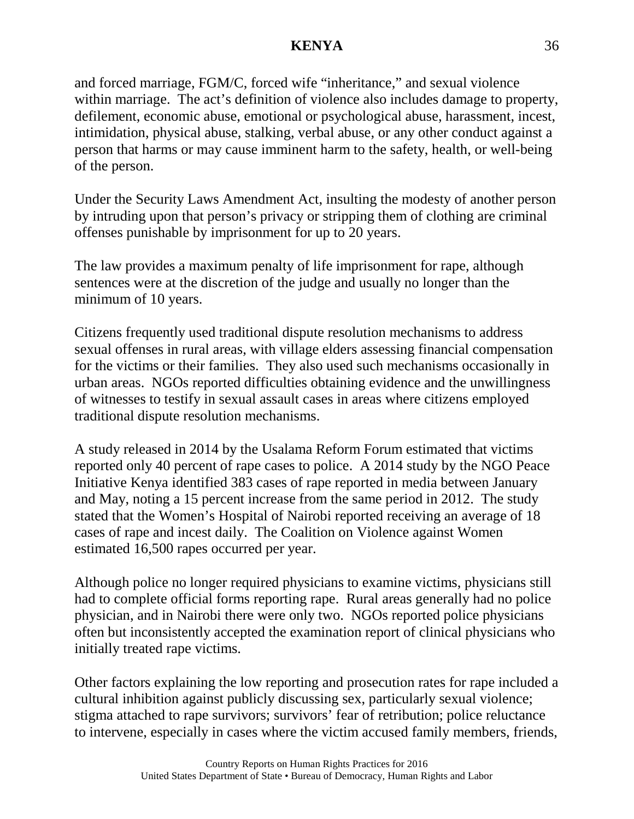and forced marriage, FGM/C, forced wife "inheritance," and sexual violence within marriage. The act's definition of violence also includes damage to property, defilement, economic abuse, emotional or psychological abuse, harassment, incest, intimidation, physical abuse, stalking, verbal abuse, or any other conduct against a person that harms or may cause imminent harm to the safety, health, or well-being of the person.

Under the Security Laws Amendment Act, insulting the modesty of another person by intruding upon that person's privacy or stripping them of clothing are criminal offenses punishable by imprisonment for up to 20 years.

The law provides a maximum penalty of life imprisonment for rape, although sentences were at the discretion of the judge and usually no longer than the minimum of 10 years.

Citizens frequently used traditional dispute resolution mechanisms to address sexual offenses in rural areas, with village elders assessing financial compensation for the victims or their families. They also used such mechanisms occasionally in urban areas. NGOs reported difficulties obtaining evidence and the unwillingness of witnesses to testify in sexual assault cases in areas where citizens employed traditional dispute resolution mechanisms.

A study released in 2014 by the Usalama Reform Forum estimated that victims reported only 40 percent of rape cases to police. A 2014 study by the NGO Peace Initiative Kenya identified 383 cases of rape reported in media between January and May, noting a 15 percent increase from the same period in 2012. The study stated that the Women's Hospital of Nairobi reported receiving an average of 18 cases of rape and incest daily. The Coalition on Violence against Women estimated 16,500 rapes occurred per year.

Although police no longer required physicians to examine victims, physicians still had to complete official forms reporting rape. Rural areas generally had no police physician, and in Nairobi there were only two. NGOs reported police physicians often but inconsistently accepted the examination report of clinical physicians who initially treated rape victims.

Other factors explaining the low reporting and prosecution rates for rape included a cultural inhibition against publicly discussing sex, particularly sexual violence; stigma attached to rape survivors; survivors' fear of retribution; police reluctance to intervene, especially in cases where the victim accused family members, friends,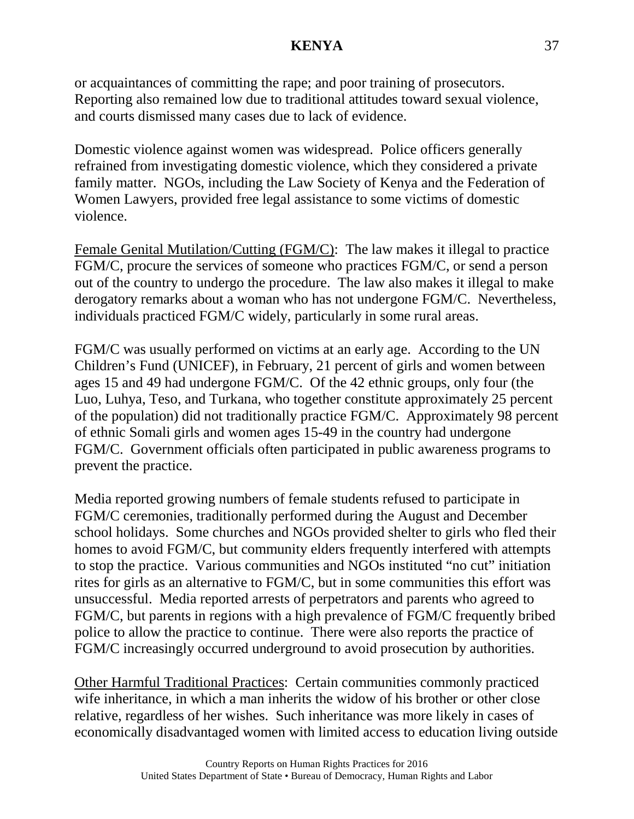or acquaintances of committing the rape; and poor training of prosecutors. Reporting also remained low due to traditional attitudes toward sexual violence, and courts dismissed many cases due to lack of evidence.

Domestic violence against women was widespread. Police officers generally refrained from investigating domestic violence, which they considered a private family matter. NGOs, including the Law Society of Kenya and the Federation of Women Lawyers, provided free legal assistance to some victims of domestic violence.

Female Genital Mutilation/Cutting (FGM/C): The law makes it illegal to practice FGM/C, procure the services of someone who practices FGM/C, or send a person out of the country to undergo the procedure. The law also makes it illegal to make derogatory remarks about a woman who has not undergone FGM/C. Nevertheless, individuals practiced FGM/C widely, particularly in some rural areas.

FGM/C was usually performed on victims at an early age. According to the UN Children's Fund (UNICEF), in February, 21 percent of girls and women between ages 15 and 49 had undergone FGM/C. Of the 42 ethnic groups, only four (the Luo, Luhya, Teso, and Turkana, who together constitute approximately 25 percent of the population) did not traditionally practice FGM/C. Approximately 98 percent of ethnic Somali girls and women ages 15-49 in the country had undergone FGM/C. Government officials often participated in public awareness programs to prevent the practice.

Media reported growing numbers of female students refused to participate in FGM/C ceremonies, traditionally performed during the August and December school holidays. Some churches and NGOs provided shelter to girls who fled their homes to avoid FGM/C, but community elders frequently interfered with attempts to stop the practice. Various communities and NGOs instituted "no cut" initiation rites for girls as an alternative to FGM/C, but in some communities this effort was unsuccessful. Media reported arrests of perpetrators and parents who agreed to FGM/C, but parents in regions with a high prevalence of FGM/C frequently bribed police to allow the practice to continue. There were also reports the practice of FGM/C increasingly occurred underground to avoid prosecution by authorities.

Other Harmful Traditional Practices: Certain communities commonly practiced wife inheritance, in which a man inherits the widow of his brother or other close relative, regardless of her wishes. Such inheritance was more likely in cases of economically disadvantaged women with limited access to education living outside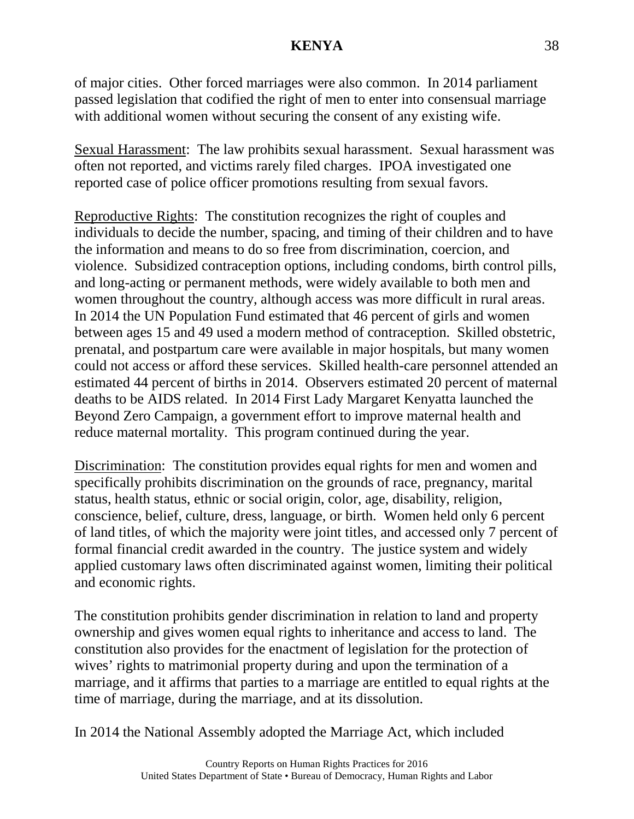of major cities. Other forced marriages were also common. In 2014 parliament passed legislation that codified the right of men to enter into consensual marriage with additional women without securing the consent of any existing wife.

Sexual Harassment: The law prohibits sexual harassment. Sexual harassment was often not reported, and victims rarely filed charges. IPOA investigated one reported case of police officer promotions resulting from sexual favors.

Reproductive Rights: The constitution recognizes the right of couples and individuals to decide the number, spacing, and timing of their children and to have the information and means to do so free from discrimination, coercion, and violence. Subsidized contraception options, including condoms, birth control pills, and long-acting or permanent methods, were widely available to both men and women throughout the country, although access was more difficult in rural areas. In 2014 the UN Population Fund estimated that 46 percent of girls and women between ages 15 and 49 used a modern method of contraception. Skilled obstetric, prenatal, and postpartum care were available in major hospitals, but many women could not access or afford these services. Skilled health-care personnel attended an estimated 44 percent of births in 2014. Observers estimated 20 percent of maternal deaths to be AIDS related. In 2014 First Lady Margaret Kenyatta launched the Beyond Zero Campaign, a government effort to improve maternal health and reduce maternal mortality. This program continued during the year.

Discrimination: The constitution provides equal rights for men and women and specifically prohibits discrimination on the grounds of race, pregnancy, marital status, health status, ethnic or social origin, color, age, disability, religion, conscience, belief, culture, dress, language, or birth. Women held only 6 percent of land titles, of which the majority were joint titles, and accessed only 7 percent of formal financial credit awarded in the country. The justice system and widely applied customary laws often discriminated against women, limiting their political and economic rights.

The constitution prohibits gender discrimination in relation to land and property ownership and gives women equal rights to inheritance and access to land. The constitution also provides for the enactment of legislation for the protection of wives' rights to matrimonial property during and upon the termination of a marriage, and it affirms that parties to a marriage are entitled to equal rights at the time of marriage, during the marriage, and at its dissolution.

In 2014 the National Assembly adopted the Marriage Act, which included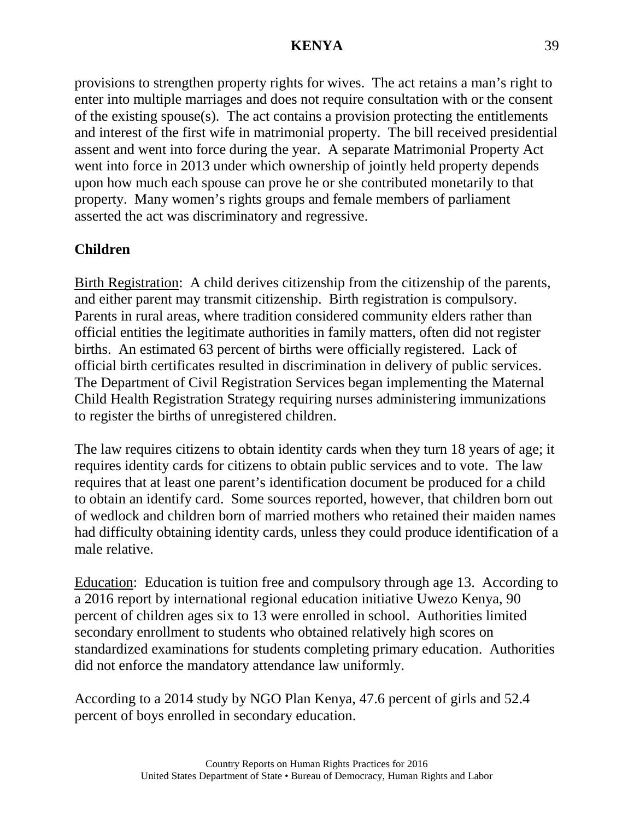provisions to strengthen property rights for wives. The act retains a man's right to enter into multiple marriages and does not require consultation with or the consent of the existing spouse(s). The act contains a provision protecting the entitlements and interest of the first wife in matrimonial property. The bill received presidential assent and went into force during the year. A separate Matrimonial Property Act went into force in 2013 under which ownership of jointly held property depends upon how much each spouse can prove he or she contributed monetarily to that property. Many women's rights groups and female members of parliament asserted the act was discriminatory and regressive.

# **Children**

Birth Registration: A child derives citizenship from the citizenship of the parents, and either parent may transmit citizenship. Birth registration is compulsory. Parents in rural areas, where tradition considered community elders rather than official entities the legitimate authorities in family matters, often did not register births. An estimated 63 percent of births were officially registered. Lack of official birth certificates resulted in discrimination in delivery of public services. The Department of Civil Registration Services began implementing the Maternal Child Health Registration Strategy requiring nurses administering immunizations to register the births of unregistered children.

The law requires citizens to obtain identity cards when they turn 18 years of age; it requires identity cards for citizens to obtain public services and to vote. The law requires that at least one parent's identification document be produced for a child to obtain an identify card. Some sources reported, however, that children born out of wedlock and children born of married mothers who retained their maiden names had difficulty obtaining identity cards, unless they could produce identification of a male relative.

Education: Education is tuition free and compulsory through age 13. According to a 2016 report by international regional education initiative Uwezo Kenya, 90 percent of children ages six to 13 were enrolled in school. Authorities limited secondary enrollment to students who obtained relatively high scores on standardized examinations for students completing primary education. Authorities did not enforce the mandatory attendance law uniformly.

According to a 2014 study by NGO Plan Kenya, 47.6 percent of girls and 52.4 percent of boys enrolled in secondary education.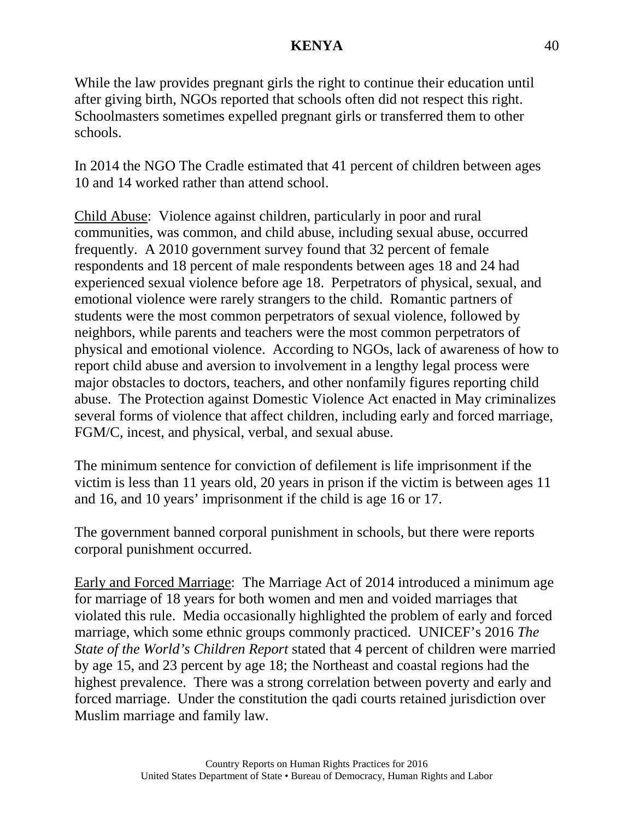While the law provides pregnant girls the right to continue their education until after giving birth, NGOs reported that schools often did not respect this right. Schoolmasters sometimes expelled pregnant girls or transferred them to other schools.

In 2014 the NGO The Cradle estimated that 41 percent of children between ages 10 and 14 worked rather than attend school.

Child Abuse: Violence against children, particularly in poor and rural communities, was common, and child abuse, including sexual abuse, occurred frequently. A 2010 government survey found that 32 percent of female respondents and 18 percent of male respondents between ages 18 and 24 had experienced sexual violence before age 18. Perpetrators of physical, sexual, and emotional violence were rarely strangers to the child. Romantic partners of students were the most common perpetrators of sexual violence, followed by neighbors, while parents and teachers were the most common perpetrators of physical and emotional violence. According to NGOs, lack of awareness of how to report child abuse and aversion to involvement in a lengthy legal process were major obstacles to doctors, teachers, and other nonfamily figures reporting child abuse. The Protection against Domestic Violence Act enacted in May criminalizes several forms of violence that affect children, including early and forced marriage, FGM/C, incest, and physical, verbal, and sexual abuse.

The minimum sentence for conviction of defilement is life imprisonment if the victim is less than 11 years old, 20 years in prison if the victim is between ages 11 and 16, and 10 years' imprisonment if the child is age 16 or 17.

The government banned corporal punishment in schools, but there were reports corporal punishment occurred.

Early and Forced Marriage: The Marriage Act of 2014 introduced a minimum age for marriage of 18 years for both women and men and voided marriages that violated this rule. Media occasionally highlighted the problem of early and forced marriage, which some ethnic groups commonly practiced. UNICEF's 2016 *The State of the World's Children Report* stated that 4 percent of children were married by age 15, and 23 percent by age 18; the Northeast and coastal regions had the highest prevalence. There was a strong correlation between poverty and early and forced marriage. Under the constitution the qadi courts retained jurisdiction over Muslim marriage and family law.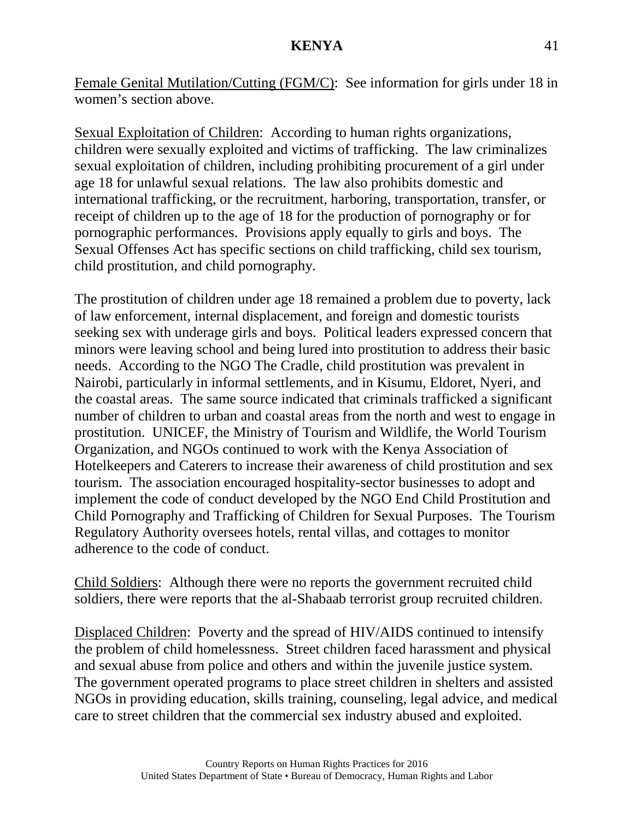Female Genital Mutilation/Cutting (FGM/C): See information for girls under 18 in women's section above.

Sexual Exploitation of Children: According to human rights organizations, children were sexually exploited and victims of trafficking. The law criminalizes sexual exploitation of children, including prohibiting procurement of a girl under age 18 for unlawful sexual relations. The law also prohibits domestic and international trafficking, or the recruitment, harboring, transportation, transfer, or receipt of children up to the age of 18 for the production of pornography or for pornographic performances. Provisions apply equally to girls and boys. The Sexual Offenses Act has specific sections on child trafficking, child sex tourism, child prostitution, and child pornography.

The prostitution of children under age 18 remained a problem due to poverty, lack of law enforcement, internal displacement, and foreign and domestic tourists seeking sex with underage girls and boys. Political leaders expressed concern that minors were leaving school and being lured into prostitution to address their basic needs. According to the NGO The Cradle, child prostitution was prevalent in Nairobi, particularly in informal settlements, and in Kisumu, Eldoret, Nyeri, and the coastal areas. The same source indicated that criminals trafficked a significant number of children to urban and coastal areas from the north and west to engage in prostitution. UNICEF, the Ministry of Tourism and Wildlife, the World Tourism Organization, and NGOs continued to work with the Kenya Association of Hotelkeepers and Caterers to increase their awareness of child prostitution and sex tourism. The association encouraged hospitality-sector businesses to adopt and implement the code of conduct developed by the NGO End Child Prostitution and Child Pornography and Trafficking of Children for Sexual Purposes. The Tourism Regulatory Authority oversees hotels, rental villas, and cottages to monitor adherence to the code of conduct.

Child Soldiers: Although there were no reports the government recruited child soldiers, there were reports that the al-Shabaab terrorist group recruited children.

Displaced Children: Poverty and the spread of HIV/AIDS continued to intensify the problem of child homelessness. Street children faced harassment and physical and sexual abuse from police and others and within the juvenile justice system. The government operated programs to place street children in shelters and assisted NGOs in providing education, skills training, counseling, legal advice, and medical care to street children that the commercial sex industry abused and exploited.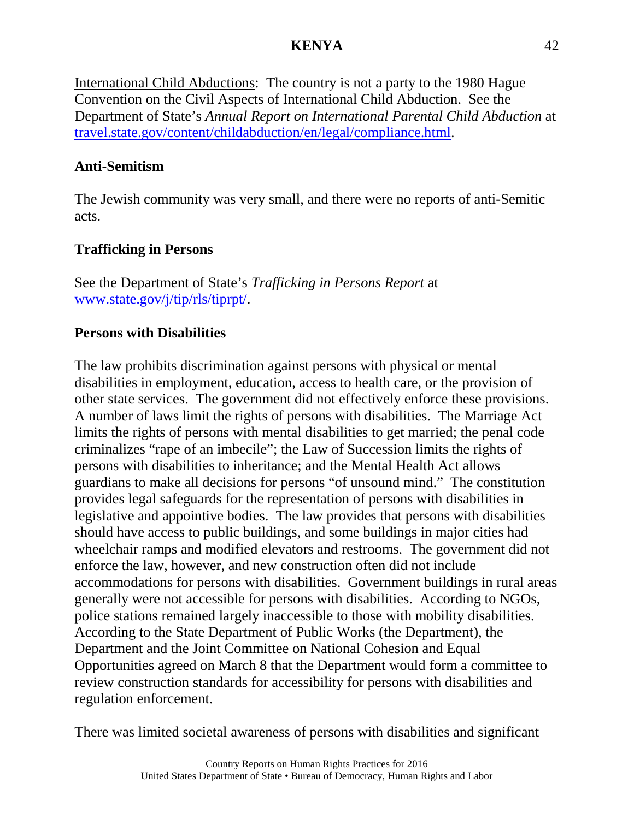International Child Abductions: The country is not a party to the 1980 Hague Convention on the Civil Aspects of International Child Abduction. See the Department of State's *Annual Report on International Parental Child Abduction* at [travel.state.gov/content/childabduction/en/legal/compliance.html.](http://travel.state.gov/content/childabduction/en/legal/compliance.html)

# **Anti-Semitism**

The Jewish community was very small, and there were no reports of anti-Semitic acts.

# **Trafficking in Persons**

See the Department of State's *Trafficking in Persons Report* at [www.state.gov/j/tip/rls/tiprpt/.](http://www.state.gov/j/tip/rls/tiprpt/)

# **Persons with Disabilities**

The law prohibits discrimination against persons with physical or mental disabilities in employment, education, access to health care, or the provision of other state services. The government did not effectively enforce these provisions. A number of laws limit the rights of persons with disabilities. The Marriage Act limits the rights of persons with mental disabilities to get married; the penal code criminalizes "rape of an imbecile"; the Law of Succession limits the rights of persons with disabilities to inheritance; and the Mental Health Act allows guardians to make all decisions for persons "of unsound mind." The constitution provides legal safeguards for the representation of persons with disabilities in legislative and appointive bodies. The law provides that persons with disabilities should have access to public buildings, and some buildings in major cities had wheelchair ramps and modified elevators and restrooms. The government did not enforce the law, however, and new construction often did not include accommodations for persons with disabilities. Government buildings in rural areas generally were not accessible for persons with disabilities. According to NGOs, police stations remained largely inaccessible to those with mobility disabilities. According to the State Department of Public Works (the Department), the Department and the Joint Committee on National Cohesion and Equal Opportunities agreed on March 8 that the Department would form a committee to review construction standards for accessibility for persons with disabilities and regulation enforcement.

There was limited societal awareness of persons with disabilities and significant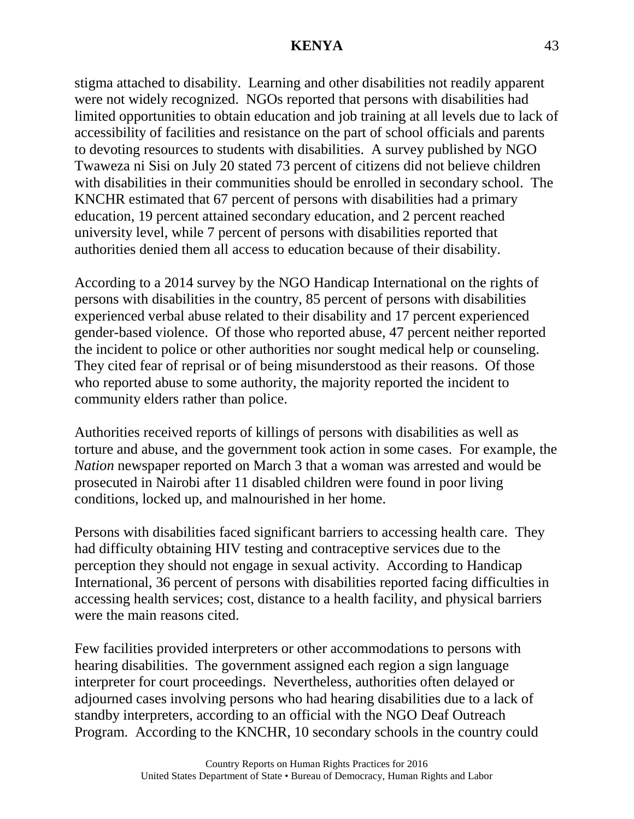stigma attached to disability. Learning and other disabilities not readily apparent were not widely recognized. NGOs reported that persons with disabilities had limited opportunities to obtain education and job training at all levels due to lack of accessibility of facilities and resistance on the part of school officials and parents to devoting resources to students with disabilities. A survey published by NGO Twaweza ni Sisi on July 20 stated 73 percent of citizens did not believe children with disabilities in their communities should be enrolled in secondary school. The KNCHR estimated that 67 percent of persons with disabilities had a primary education, 19 percent attained secondary education, and 2 percent reached university level, while 7 percent of persons with disabilities reported that authorities denied them all access to education because of their disability.

According to a 2014 survey by the NGO Handicap International on the rights of persons with disabilities in the country, 85 percent of persons with disabilities experienced verbal abuse related to their disability and 17 percent experienced gender-based violence. Of those who reported abuse, 47 percent neither reported the incident to police or other authorities nor sought medical help or counseling. They cited fear of reprisal or of being misunderstood as their reasons. Of those who reported abuse to some authority, the majority reported the incident to community elders rather than police.

Authorities received reports of killings of persons with disabilities as well as torture and abuse, and the government took action in some cases. For example, the *Nation* newspaper reported on March 3 that a woman was arrested and would be prosecuted in Nairobi after 11 disabled children were found in poor living conditions, locked up, and malnourished in her home.

Persons with disabilities faced significant barriers to accessing health care. They had difficulty obtaining HIV testing and contraceptive services due to the perception they should not engage in sexual activity. According to Handicap International, 36 percent of persons with disabilities reported facing difficulties in accessing health services; cost, distance to a health facility, and physical barriers were the main reasons cited.

Few facilities provided interpreters or other accommodations to persons with hearing disabilities. The government assigned each region a sign language interpreter for court proceedings. Nevertheless, authorities often delayed or adjourned cases involving persons who had hearing disabilities due to a lack of standby interpreters, according to an official with the NGO Deaf Outreach Program. According to the KNCHR, 10 secondary schools in the country could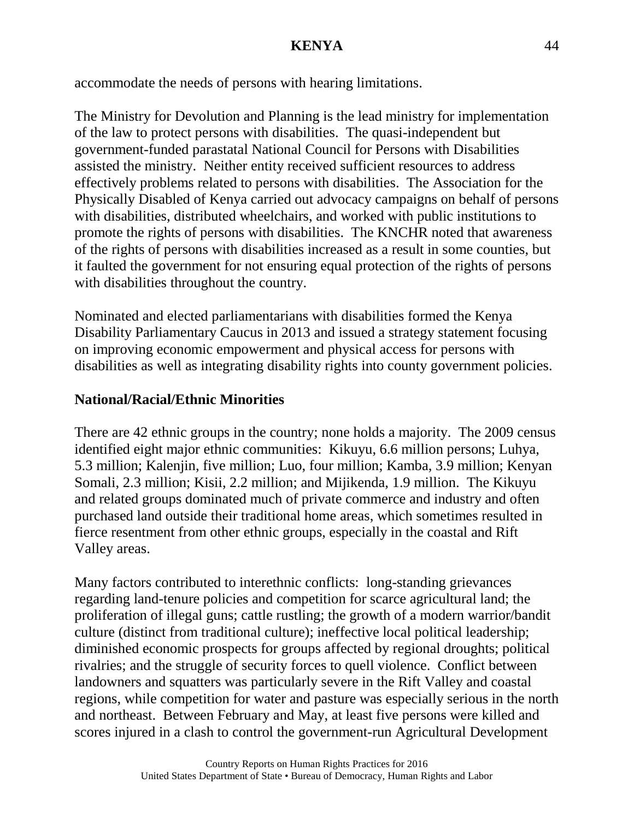accommodate the needs of persons with hearing limitations.

The Ministry for Devolution and Planning is the lead ministry for implementation of the law to protect persons with disabilities. The quasi-independent but government-funded parastatal National Council for Persons with Disabilities assisted the ministry. Neither entity received sufficient resources to address effectively problems related to persons with disabilities. The Association for the Physically Disabled of Kenya carried out advocacy campaigns on behalf of persons with disabilities, distributed wheelchairs, and worked with public institutions to promote the rights of persons with disabilities. The KNCHR noted that awareness of the rights of persons with disabilities increased as a result in some counties, but it faulted the government for not ensuring equal protection of the rights of persons with disabilities throughout the country.

Nominated and elected parliamentarians with disabilities formed the Kenya Disability Parliamentary Caucus in 2013 and issued a strategy statement focusing on improving economic empowerment and physical access for persons with disabilities as well as integrating disability rights into county government policies.

## **National/Racial/Ethnic Minorities**

There are 42 ethnic groups in the country; none holds a majority. The 2009 census identified eight major ethnic communities: Kikuyu, 6.6 million persons; Luhya, 5.3 million; Kalenjin, five million; Luo, four million; Kamba, 3.9 million; Kenyan Somali, 2.3 million; Kisii, 2.2 million; and Mijikenda, 1.9 million. The Kikuyu and related groups dominated much of private commerce and industry and often purchased land outside their traditional home areas, which sometimes resulted in fierce resentment from other ethnic groups, especially in the coastal and Rift Valley areas.

Many factors contributed to interethnic conflicts: long-standing grievances regarding land-tenure policies and competition for scarce agricultural land; the proliferation of illegal guns; cattle rustling; the growth of a modern warrior/bandit culture (distinct from traditional culture); ineffective local political leadership; diminished economic prospects for groups affected by regional droughts; political rivalries; and the struggle of security forces to quell violence. Conflict between landowners and squatters was particularly severe in the Rift Valley and coastal regions, while competition for water and pasture was especially serious in the north and northeast. Between February and May, at least five persons were killed and scores injured in a clash to control the government-run Agricultural Development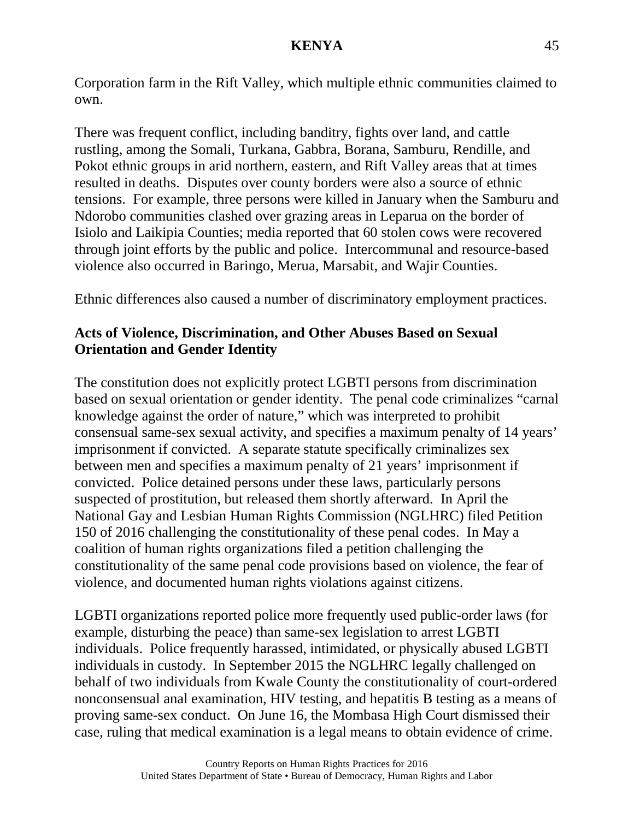Corporation farm in the Rift Valley, which multiple ethnic communities claimed to own.

There was frequent conflict, including banditry, fights over land, and cattle rustling, among the Somali, Turkana, Gabbra, Borana, Samburu, Rendille, and Pokot ethnic groups in arid northern, eastern, and Rift Valley areas that at times resulted in deaths. Disputes over county borders were also a source of ethnic tensions. For example, three persons were killed in January when the Samburu and Ndorobo communities clashed over grazing areas in Leparua on the border of Isiolo and Laikipia Counties; media reported that 60 stolen cows were recovered through joint efforts by the public and police. Intercommunal and resource-based violence also occurred in Baringo, Merua, Marsabit, and Wajir Counties.

Ethnic differences also caused a number of discriminatory employment practices.

## **Acts of Violence, Discrimination, and Other Abuses Based on Sexual Orientation and Gender Identity**

The constitution does not explicitly protect LGBTI persons from discrimination based on sexual orientation or gender identity. The penal code criminalizes "carnal knowledge against the order of nature," which was interpreted to prohibit consensual same-sex sexual activity, and specifies a maximum penalty of 14 years' imprisonment if convicted. A separate statute specifically criminalizes sex between men and specifies a maximum penalty of 21 years' imprisonment if convicted. Police detained persons under these laws, particularly persons suspected of prostitution, but released them shortly afterward. In April the National Gay and Lesbian Human Rights Commission (NGLHRC) filed Petition 150 of 2016 challenging the constitutionality of these penal codes. In May a coalition of human rights organizations filed a petition challenging the constitutionality of the same penal code provisions based on violence, the fear of violence, and documented human rights violations against citizens.

LGBTI organizations reported police more frequently used public-order laws (for example, disturbing the peace) than same-sex legislation to arrest LGBTI individuals. Police frequently harassed, intimidated, or physically abused LGBTI individuals in custody. In September 2015 the NGLHRC legally challenged on behalf of two individuals from Kwale County the constitutionality of court-ordered nonconsensual anal examination, HIV testing, and hepatitis B testing as a means of proving same-sex conduct. On June 16, the Mombasa High Court dismissed their case, ruling that medical examination is a legal means to obtain evidence of crime.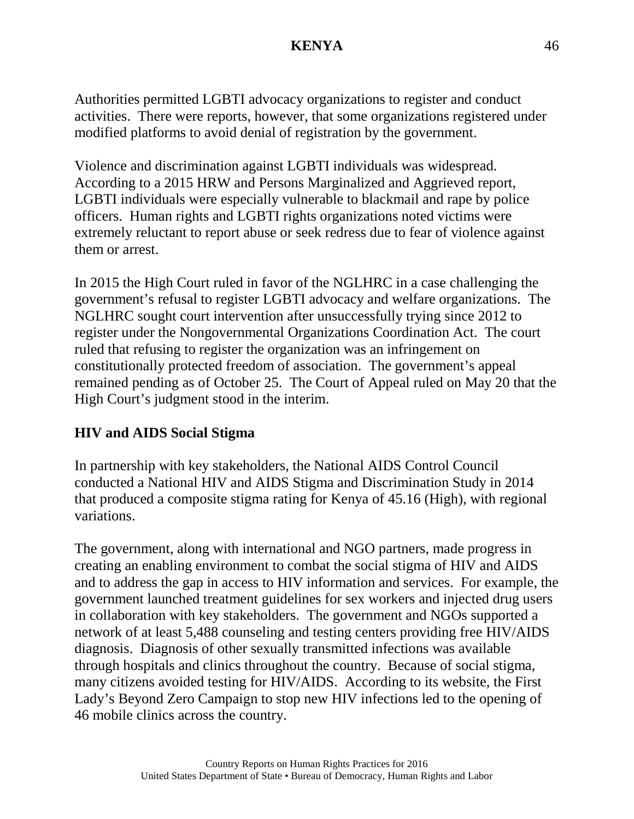Authorities permitted LGBTI advocacy organizations to register and conduct activities. There were reports, however, that some organizations registered under modified platforms to avoid denial of registration by the government.

Violence and discrimination against LGBTI individuals was widespread. According to a 2015 HRW and Persons Marginalized and Aggrieved report, LGBTI individuals were especially vulnerable to blackmail and rape by police officers. Human rights and LGBTI rights organizations noted victims were extremely reluctant to report abuse or seek redress due to fear of violence against them or arrest.

In 2015 the High Court ruled in favor of the NGLHRC in a case challenging the government's refusal to register LGBTI advocacy and welfare organizations. The NGLHRC sought court intervention after unsuccessfully trying since 2012 to register under the Nongovernmental Organizations Coordination Act. The court ruled that refusing to register the organization was an infringement on constitutionally protected freedom of association. The government's appeal remained pending as of October 25. The Court of Appeal ruled on May 20 that the High Court's judgment stood in the interim.

## **HIV and AIDS Social Stigma**

In partnership with key stakeholders, the National AIDS Control Council conducted a National HIV and AIDS Stigma and Discrimination Study in 2014 that produced a composite stigma rating for Kenya of 45.16 (High), with regional variations.

The government, along with international and NGO partners, made progress in creating an enabling environment to combat the social stigma of HIV and AIDS and to address the gap in access to HIV information and services. For example, the government launched treatment guidelines for sex workers and injected drug users in collaboration with key stakeholders. The government and NGOs supported a network of at least 5,488 counseling and testing centers providing free HIV/AIDS diagnosis. Diagnosis of other sexually transmitted infections was available through hospitals and clinics throughout the country. Because of social stigma, many citizens avoided testing for HIV/AIDS. According to its website, the First Lady's Beyond Zero Campaign to stop new HIV infections led to the opening of 46 mobile clinics across the country.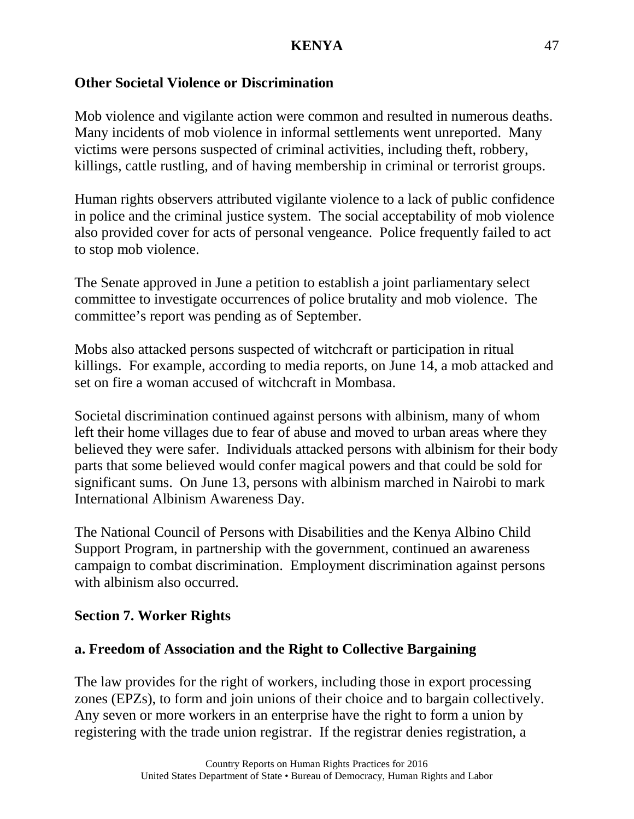### **Other Societal Violence or Discrimination**

Mob violence and vigilante action were common and resulted in numerous deaths. Many incidents of mob violence in informal settlements went unreported. Many victims were persons suspected of criminal activities, including theft, robbery, killings, cattle rustling, and of having membership in criminal or terrorist groups.

Human rights observers attributed vigilante violence to a lack of public confidence in police and the criminal justice system. The social acceptability of mob violence also provided cover for acts of personal vengeance. Police frequently failed to act to stop mob violence.

The Senate approved in June a petition to establish a joint parliamentary select committee to investigate occurrences of police brutality and mob violence. The committee's report was pending as of September.

Mobs also attacked persons suspected of witchcraft or participation in ritual killings. For example, according to media reports, on June 14, a mob attacked and set on fire a woman accused of witchcraft in Mombasa.

Societal discrimination continued against persons with albinism, many of whom left their home villages due to fear of abuse and moved to urban areas where they believed they were safer. Individuals attacked persons with albinism for their body parts that some believed would confer magical powers and that could be sold for significant sums. On June 13, persons with albinism marched in Nairobi to mark International Albinism Awareness Day.

The National Council of Persons with Disabilities and the Kenya Albino Child Support Program, in partnership with the government, continued an awareness campaign to combat discrimination. Employment discrimination against persons with albinism also occurred.

#### **Section 7. Worker Rights**

#### **a. Freedom of Association and the Right to Collective Bargaining**

The law provides for the right of workers, including those in export processing zones (EPZs), to form and join unions of their choice and to bargain collectively. Any seven or more workers in an enterprise have the right to form a union by registering with the trade union registrar. If the registrar denies registration, a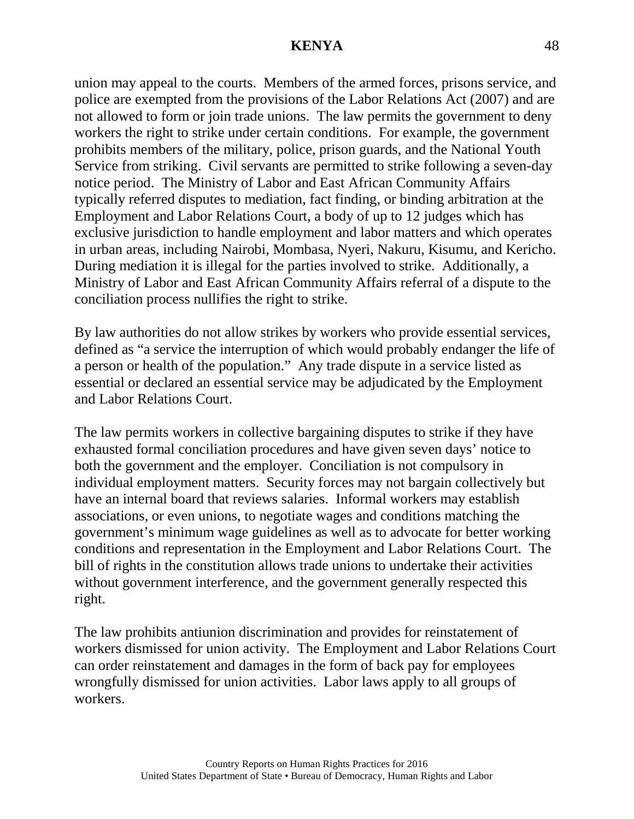union may appeal to the courts. Members of the armed forces, prisons service, and police are exempted from the provisions of the Labor Relations Act (2007) and are not allowed to form or join trade unions. The law permits the government to deny workers the right to strike under certain conditions. For example, the government prohibits members of the military, police, prison guards, and the National Youth Service from striking. Civil servants are permitted to strike following a seven-day notice period. The Ministry of Labor and East African Community Affairs typically referred disputes to mediation, fact finding, or binding arbitration at the Employment and Labor Relations Court, a body of up to 12 judges which has exclusive jurisdiction to handle employment and labor matters and which operates in urban areas, including Nairobi, Mombasa, Nyeri, Nakuru, Kisumu, and Kericho. During mediation it is illegal for the parties involved to strike. Additionally, a Ministry of Labor and East African Community Affairs referral of a dispute to the conciliation process nullifies the right to strike.

By law authorities do not allow strikes by workers who provide essential services, defined as "a service the interruption of which would probably endanger the life of a person or health of the population." Any trade dispute in a service listed as essential or declared an essential service may be adjudicated by the Employment and Labor Relations Court.

The law permits workers in collective bargaining disputes to strike if they have exhausted formal conciliation procedures and have given seven days' notice to both the government and the employer. Conciliation is not compulsory in individual employment matters. Security forces may not bargain collectively but have an internal board that reviews salaries. Informal workers may establish associations, or even unions, to negotiate wages and conditions matching the government's minimum wage guidelines as well as to advocate for better working conditions and representation in the Employment and Labor Relations Court. The bill of rights in the constitution allows trade unions to undertake their activities without government interference, and the government generally respected this right.

The law prohibits antiunion discrimination and provides for reinstatement of workers dismissed for union activity. The Employment and Labor Relations Court can order reinstatement and damages in the form of back pay for employees wrongfully dismissed for union activities. Labor laws apply to all groups of workers.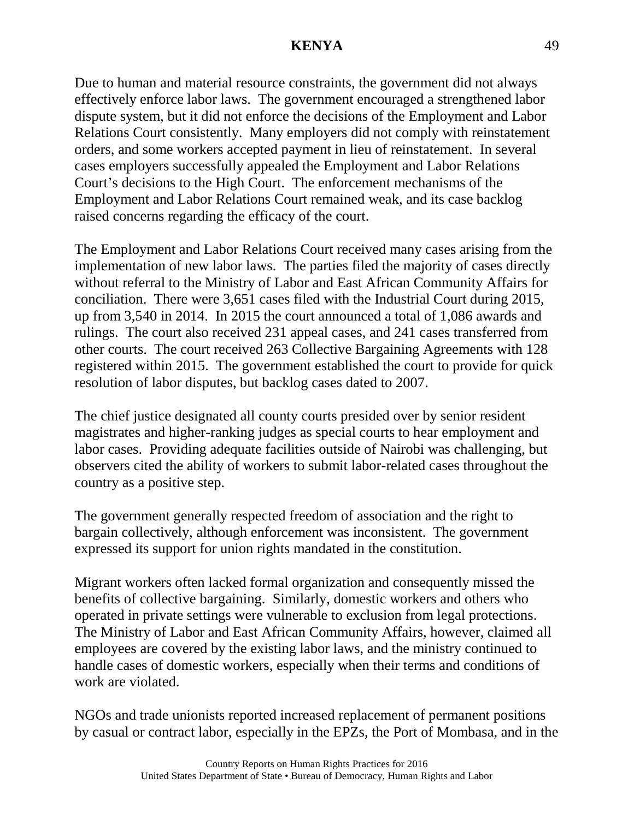Due to human and material resource constraints, the government did not always effectively enforce labor laws. The government encouraged a strengthened labor dispute system, but it did not enforce the decisions of the Employment and Labor Relations Court consistently. Many employers did not comply with reinstatement orders, and some workers accepted payment in lieu of reinstatement. In several cases employers successfully appealed the Employment and Labor Relations Court's decisions to the High Court. The enforcement mechanisms of the Employment and Labor Relations Court remained weak, and its case backlog raised concerns regarding the efficacy of the court.

The Employment and Labor Relations Court received many cases arising from the implementation of new labor laws. The parties filed the majority of cases directly without referral to the Ministry of Labor and East African Community Affairs for conciliation. There were 3,651 cases filed with the Industrial Court during 2015, up from 3,540 in 2014. In 2015 the court announced a total of 1,086 awards and rulings. The court also received 231 appeal cases, and 241 cases transferred from other courts. The court received 263 Collective Bargaining Agreements with 128 registered within 2015. The government established the court to provide for quick resolution of labor disputes, but backlog cases dated to 2007.

The chief justice designated all county courts presided over by senior resident magistrates and higher-ranking judges as special courts to hear employment and labor cases. Providing adequate facilities outside of Nairobi was challenging, but observers cited the ability of workers to submit labor-related cases throughout the country as a positive step.

The government generally respected freedom of association and the right to bargain collectively, although enforcement was inconsistent. The government expressed its support for union rights mandated in the constitution.

Migrant workers often lacked formal organization and consequently missed the benefits of collective bargaining. Similarly, domestic workers and others who operated in private settings were vulnerable to exclusion from legal protections. The Ministry of Labor and East African Community Affairs, however, claimed all employees are covered by the existing labor laws, and the ministry continued to handle cases of domestic workers, especially when their terms and conditions of work are violated.

NGOs and trade unionists reported increased replacement of permanent positions by casual or contract labor, especially in the EPZs, the Port of Mombasa, and in the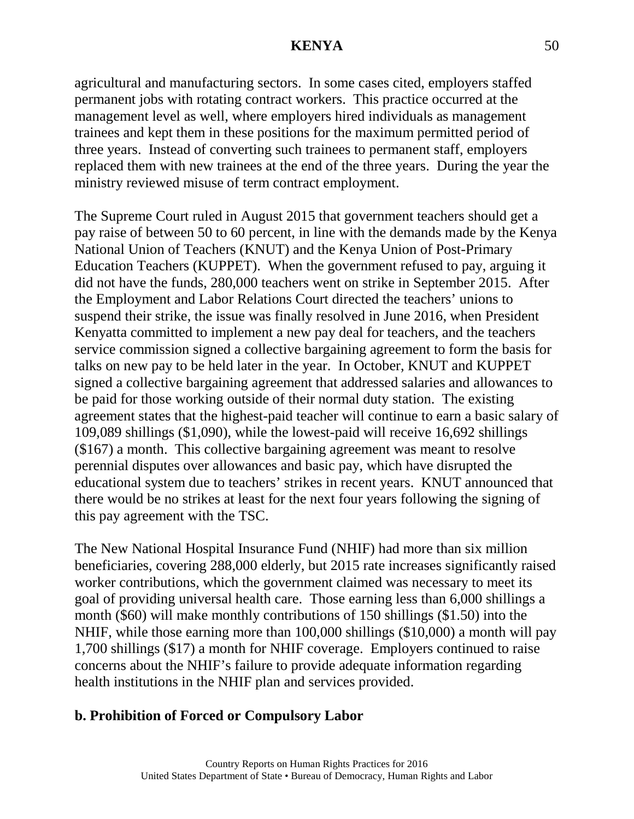agricultural and manufacturing sectors. In some cases cited, employers staffed permanent jobs with rotating contract workers. This practice occurred at the management level as well, where employers hired individuals as management trainees and kept them in these positions for the maximum permitted period of three years. Instead of converting such trainees to permanent staff, employers replaced them with new trainees at the end of the three years. During the year the ministry reviewed misuse of term contract employment.

The Supreme Court ruled in August 2015 that government teachers should get a pay raise of between 50 to 60 percent, in line with the demands made by the Kenya National Union of Teachers (KNUT) and the Kenya Union of Post-Primary Education Teachers (KUPPET). When the government refused to pay, arguing it did not have the funds, 280,000 teachers went on strike in September 2015. After the Employment and Labor Relations Court directed the teachers' unions to suspend their strike, the issue was finally resolved in June 2016, when President Kenyatta committed to implement a new pay deal for teachers, and the teachers service commission signed a collective bargaining agreement to form the basis for talks on new pay to be held later in the year. In October, KNUT and KUPPET signed a collective bargaining agreement that addressed salaries and allowances to be paid for those working outside of their normal duty station. The existing agreement states that the highest-paid teacher will continue to earn a basic salary of 109,089 shillings (\$1,090), while the lowest-paid will receive 16,692 shillings (\$167) a month. This collective bargaining agreement was meant to resolve perennial disputes over allowances and basic pay, which have disrupted the educational system due to teachers' strikes in recent years. KNUT announced that there would be no strikes at least for the next four years following the signing of this pay agreement with the TSC.

The New National Hospital Insurance Fund (NHIF) had more than six million beneficiaries, covering 288,000 elderly, but 2015 rate increases significantly raised worker contributions, which the government claimed was necessary to meet its goal of providing universal health care. Those earning less than 6,000 shillings a month (\$60) will make monthly contributions of 150 shillings (\$1.50) into the NHIF, while those earning more than 100,000 shillings (\$10,000) a month will pay 1,700 shillings (\$17) a month for NHIF coverage. Employers continued to raise concerns about the NHIF's failure to provide adequate information regarding health institutions in the NHIF plan and services provided.

#### **b. Prohibition of Forced or Compulsory Labor**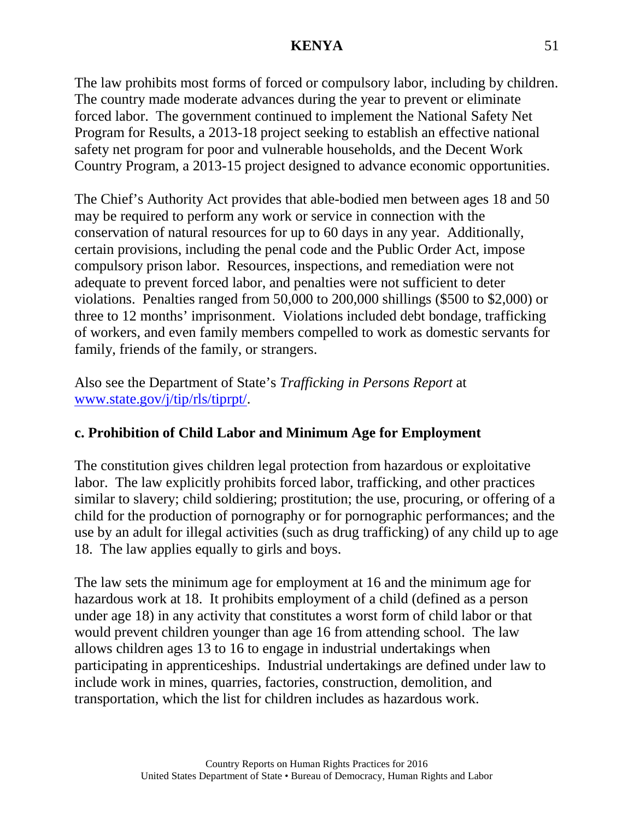The law prohibits most forms of forced or compulsory labor, including by children. The country made moderate advances during the year to prevent or eliminate forced labor. The government continued to implement the National Safety Net Program for Results, a 2013-18 project seeking to establish an effective national safety net program for poor and vulnerable households, and the Decent Work Country Program, a 2013-15 project designed to advance economic opportunities.

The Chief's Authority Act provides that able-bodied men between ages 18 and 50 may be required to perform any work or service in connection with the conservation of natural resources for up to 60 days in any year. Additionally, certain provisions, including the penal code and the Public Order Act, impose compulsory prison labor. Resources, inspections, and remediation were not adequate to prevent forced labor, and penalties were not sufficient to deter violations. Penalties ranged from 50,000 to 200,000 shillings (\$500 to \$2,000) or three to 12 months' imprisonment. Violations included debt bondage, trafficking of workers, and even family members compelled to work as domestic servants for family, friends of the family, or strangers.

Also see the Department of State's *Trafficking in Persons Report* at [www.state.gov/j/tip/rls/tiprpt/.](http://www.state.gov/j/tip/rls/tiprpt/)

## **c. Prohibition of Child Labor and Minimum Age for Employment**

The constitution gives children legal protection from hazardous or exploitative labor. The law explicitly prohibits forced labor, trafficking, and other practices similar to slavery; child soldiering; prostitution; the use, procuring, or offering of a child for the production of pornography or for pornographic performances; and the use by an adult for illegal activities (such as drug trafficking) of any child up to age 18. The law applies equally to girls and boys.

The law sets the minimum age for employment at 16 and the minimum age for hazardous work at 18. It prohibits employment of a child (defined as a person under age 18) in any activity that constitutes a worst form of child labor or that would prevent children younger than age 16 from attending school. The law allows children ages 13 to 16 to engage in industrial undertakings when participating in apprenticeships. Industrial undertakings are defined under law to include work in mines, quarries, factories, construction, demolition, and transportation, which the list for children includes as hazardous work.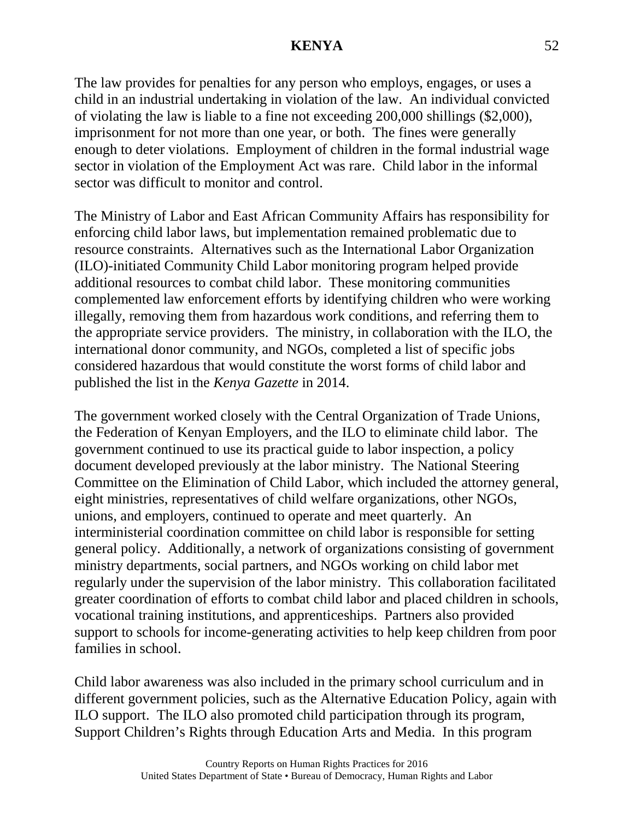The law provides for penalties for any person who employs, engages, or uses a child in an industrial undertaking in violation of the law. An individual convicted of violating the law is liable to a fine not exceeding 200,000 shillings (\$2,000), imprisonment for not more than one year, or both. The fines were generally enough to deter violations. Employment of children in the formal industrial wage sector in violation of the Employment Act was rare. Child labor in the informal sector was difficult to monitor and control.

The Ministry of Labor and East African Community Affairs has responsibility for enforcing child labor laws, but implementation remained problematic due to resource constraints. Alternatives such as the International Labor Organization (ILO)-initiated Community Child Labor monitoring program helped provide additional resources to combat child labor. These monitoring communities complemented law enforcement efforts by identifying children who were working illegally, removing them from hazardous work conditions, and referring them to the appropriate service providers. The ministry, in collaboration with the ILO, the international donor community, and NGOs, completed a list of specific jobs considered hazardous that would constitute the worst forms of child labor and published the list in the *Kenya Gazette* in 2014.

The government worked closely with the Central Organization of Trade Unions, the Federation of Kenyan Employers, and the ILO to eliminate child labor. The government continued to use its practical guide to labor inspection, a policy document developed previously at the labor ministry. The National Steering Committee on the Elimination of Child Labor, which included the attorney general, eight ministries, representatives of child welfare organizations, other NGOs, unions, and employers, continued to operate and meet quarterly. An interministerial coordination committee on child labor is responsible for setting general policy. Additionally, a network of organizations consisting of government ministry departments, social partners, and NGOs working on child labor met regularly under the supervision of the labor ministry. This collaboration facilitated greater coordination of efforts to combat child labor and placed children in schools, vocational training institutions, and apprenticeships. Partners also provided support to schools for income-generating activities to help keep children from poor families in school.

Child labor awareness was also included in the primary school curriculum and in different government policies, such as the Alternative Education Policy, again with ILO support. The ILO also promoted child participation through its program, Support Children's Rights through Education Arts and Media. In this program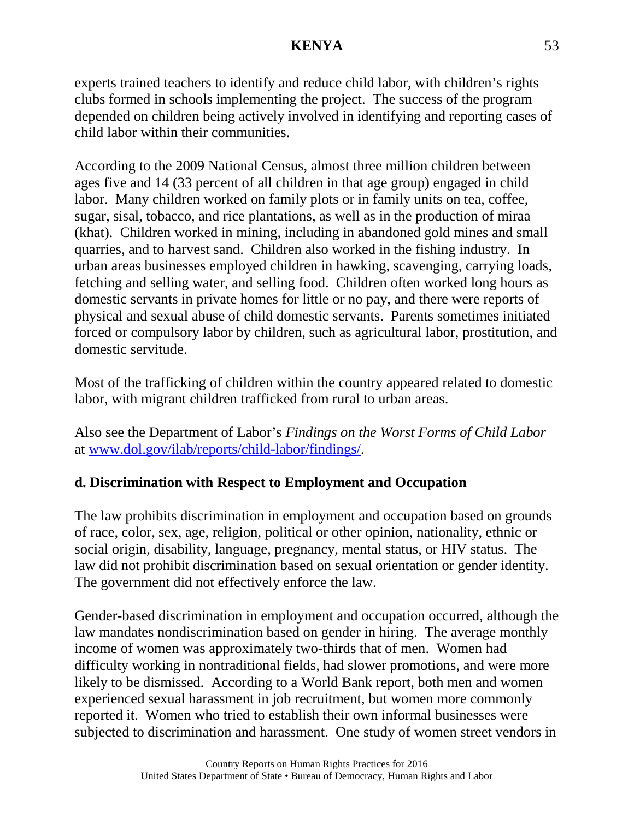experts trained teachers to identify and reduce child labor, with children's rights clubs formed in schools implementing the project. The success of the program depended on children being actively involved in identifying and reporting cases of child labor within their communities.

According to the 2009 National Census, almost three million children between ages five and 14 (33 percent of all children in that age group) engaged in child labor. Many children worked on family plots or in family units on tea, coffee, sugar, sisal, tobacco, and rice plantations, as well as in the production of miraa (khat). Children worked in mining, including in abandoned gold mines and small quarries, and to harvest sand. Children also worked in the fishing industry. In urban areas businesses employed children in hawking, scavenging, carrying loads, fetching and selling water, and selling food. Children often worked long hours as domestic servants in private homes for little or no pay, and there were reports of physical and sexual abuse of child domestic servants. Parents sometimes initiated forced or compulsory labor by children, such as agricultural labor, prostitution, and domestic servitude.

Most of the trafficking of children within the country appeared related to domestic labor, with migrant children trafficked from rural to urban areas.

Also see the Department of Labor's *Findings on the Worst Forms of Child Labor* at [www.dol.gov/ilab/reports/child-labor/findings/.](http://www.dol.gov/ilab/reports/child-labor/findings/)

# **d. Discrimination with Respect to Employment and Occupation**

The law prohibits discrimination in employment and occupation based on grounds of race, color, sex, age, religion, political or other opinion, nationality, ethnic or social origin, disability, language, pregnancy, mental status, or HIV status. The law did not prohibit discrimination based on sexual orientation or gender identity. The government did not effectively enforce the law.

Gender-based discrimination in employment and occupation occurred, although the law mandates nondiscrimination based on gender in hiring. The average monthly income of women was approximately two-thirds that of men. Women had difficulty working in nontraditional fields, had slower promotions, and were more likely to be dismissed. According to a World Bank report, both men and women experienced sexual harassment in job recruitment, but women more commonly reported it. Women who tried to establish their own informal businesses were subjected to discrimination and harassment. One study of women street vendors in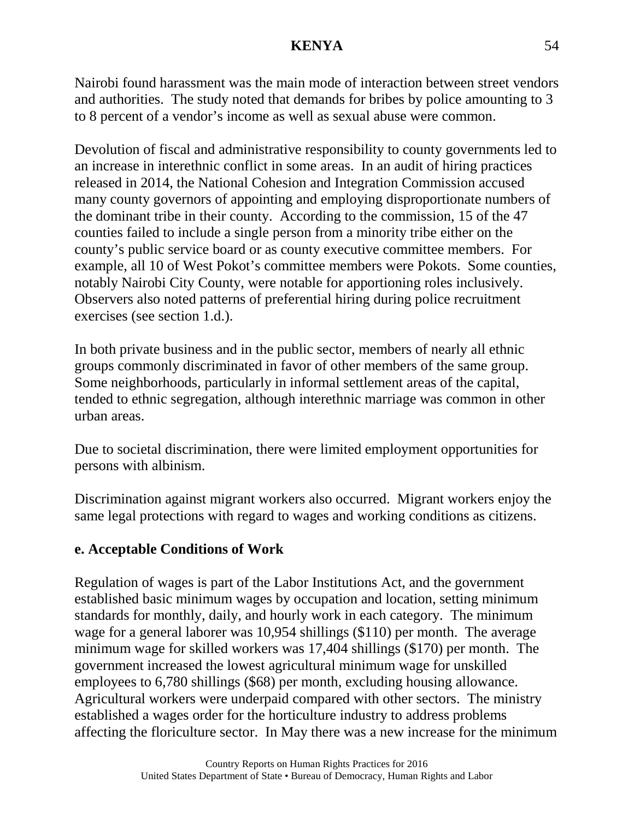Nairobi found harassment was the main mode of interaction between street vendors and authorities. The study noted that demands for bribes by police amounting to 3 to 8 percent of a vendor's income as well as sexual abuse were common.

Devolution of fiscal and administrative responsibility to county governments led to an increase in interethnic conflict in some areas. In an audit of hiring practices released in 2014, the National Cohesion and Integration Commission accused many county governors of appointing and employing disproportionate numbers of the dominant tribe in their county. According to the commission, 15 of the 47 counties failed to include a single person from a minority tribe either on the county's public service board or as county executive committee members. For example, all 10 of West Pokot's committee members were Pokots. Some counties, notably Nairobi City County, were notable for apportioning roles inclusively. Observers also noted patterns of preferential hiring during police recruitment exercises (see section 1.d.).

In both private business and in the public sector, members of nearly all ethnic groups commonly discriminated in favor of other members of the same group. Some neighborhoods, particularly in informal settlement areas of the capital, tended to ethnic segregation, although interethnic marriage was common in other urban areas.

Due to societal discrimination, there were limited employment opportunities for persons with albinism.

Discrimination against migrant workers also occurred. Migrant workers enjoy the same legal protections with regard to wages and working conditions as citizens.

## **e. Acceptable Conditions of Work**

Regulation of wages is part of the Labor Institutions Act, and the government established basic minimum wages by occupation and location, setting minimum standards for monthly, daily, and hourly work in each category. The minimum wage for a general laborer was 10,954 shillings (\$110) per month. The average minimum wage for skilled workers was 17,404 shillings (\$170) per month. The government increased the lowest agricultural minimum wage for unskilled employees to 6,780 shillings (\$68) per month, excluding housing allowance. Agricultural workers were underpaid compared with other sectors. The ministry established a wages order for the horticulture industry to address problems affecting the floriculture sector. In May there was a new increase for the minimum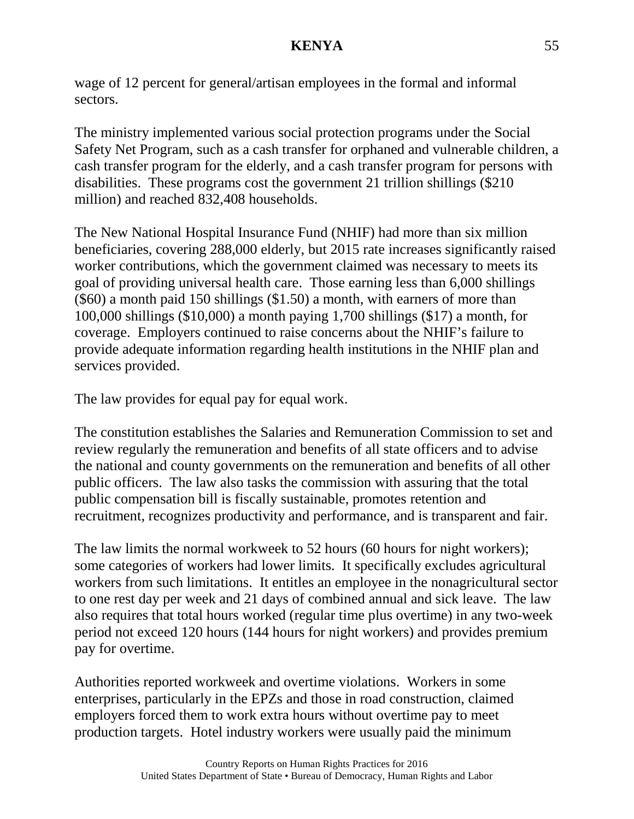wage of 12 percent for general/artisan employees in the formal and informal sectors.

The ministry implemented various social protection programs under the Social Safety Net Program, such as a cash transfer for orphaned and vulnerable children, a cash transfer program for the elderly, and a cash transfer program for persons with disabilities. These programs cost the government 21 trillion shillings (\$210 million) and reached 832,408 households.

The New National Hospital Insurance Fund (NHIF) had more than six million beneficiaries, covering 288,000 elderly, but 2015 rate increases significantly raised worker contributions, which the government claimed was necessary to meets its goal of providing universal health care. Those earning less than 6,000 shillings (\$60) a month paid 150 shillings (\$1.50) a month, with earners of more than 100,000 shillings (\$10,000) a month paying 1,700 shillings (\$17) a month, for coverage. Employers continued to raise concerns about the NHIF's failure to provide adequate information regarding health institutions in the NHIF plan and services provided.

The law provides for equal pay for equal work.

The constitution establishes the Salaries and Remuneration Commission to set and review regularly the remuneration and benefits of all state officers and to advise the national and county governments on the remuneration and benefits of all other public officers. The law also tasks the commission with assuring that the total public compensation bill is fiscally sustainable, promotes retention and recruitment, recognizes productivity and performance, and is transparent and fair.

The law limits the normal workweek to 52 hours (60 hours for night workers); some categories of workers had lower limits. It specifically excludes agricultural workers from such limitations. It entitles an employee in the nonagricultural sector to one rest day per week and 21 days of combined annual and sick leave. The law also requires that total hours worked (regular time plus overtime) in any two-week period not exceed 120 hours (144 hours for night workers) and provides premium pay for overtime.

Authorities reported workweek and overtime violations. Workers in some enterprises, particularly in the EPZs and those in road construction, claimed employers forced them to work extra hours without overtime pay to meet production targets. Hotel industry workers were usually paid the minimum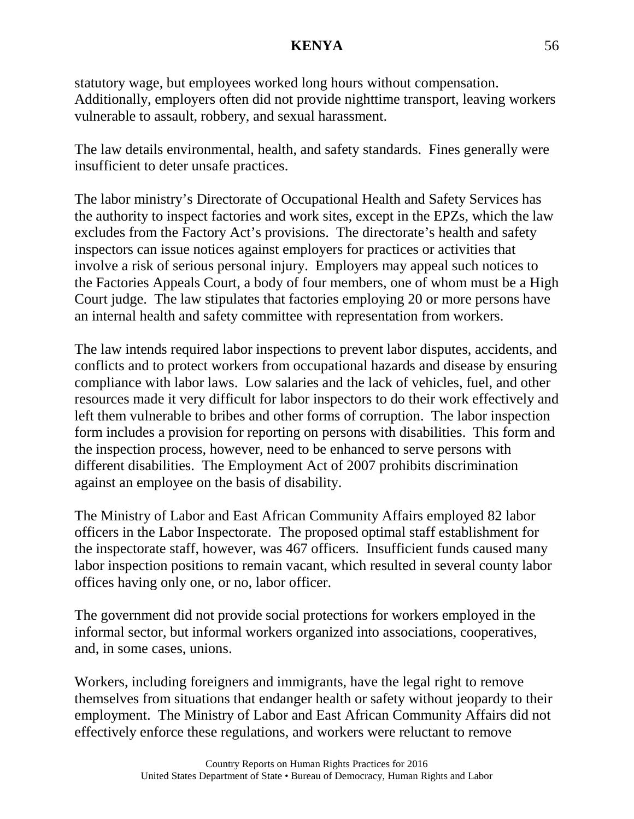statutory wage, but employees worked long hours without compensation. Additionally, employers often did not provide nighttime transport, leaving workers vulnerable to assault, robbery, and sexual harassment.

The law details environmental, health, and safety standards. Fines generally were insufficient to deter unsafe practices.

The labor ministry's Directorate of Occupational Health and Safety Services has the authority to inspect factories and work sites, except in the EPZs, which the law excludes from the Factory Act's provisions. The directorate's health and safety inspectors can issue notices against employers for practices or activities that involve a risk of serious personal injury. Employers may appeal such notices to the Factories Appeals Court, a body of four members, one of whom must be a High Court judge. The law stipulates that factories employing 20 or more persons have an internal health and safety committee with representation from workers.

The law intends required labor inspections to prevent labor disputes, accidents, and conflicts and to protect workers from occupational hazards and disease by ensuring compliance with labor laws. Low salaries and the lack of vehicles, fuel, and other resources made it very difficult for labor inspectors to do their work effectively and left them vulnerable to bribes and other forms of corruption. The labor inspection form includes a provision for reporting on persons with disabilities. This form and the inspection process, however, need to be enhanced to serve persons with different disabilities. The Employment Act of 2007 prohibits discrimination against an employee on the basis of disability.

The Ministry of Labor and East African Community Affairs employed 82 labor officers in the Labor Inspectorate. The proposed optimal staff establishment for the inspectorate staff, however, was 467 officers. Insufficient funds caused many labor inspection positions to remain vacant, which resulted in several county labor offices having only one, or no, labor officer.

The government did not provide social protections for workers employed in the informal sector, but informal workers organized into associations, cooperatives, and, in some cases, unions.

Workers, including foreigners and immigrants, have the legal right to remove themselves from situations that endanger health or safety without jeopardy to their employment. The Ministry of Labor and East African Community Affairs did not effectively enforce these regulations, and workers were reluctant to remove